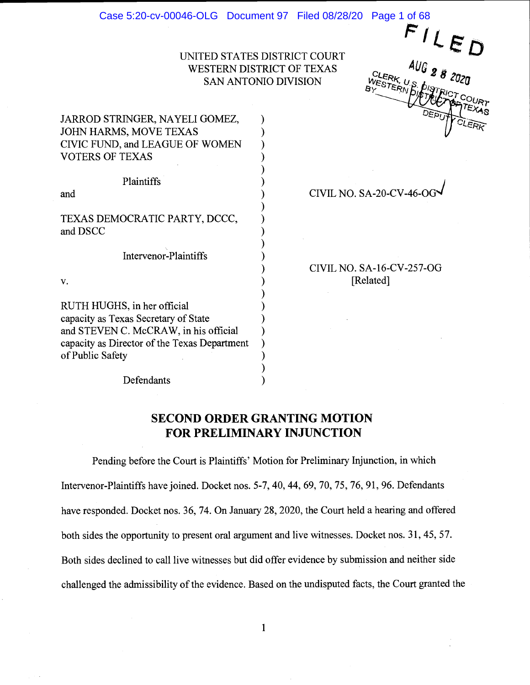#### Case 5:20-cv-00046-OLG Document 97 Filed 08/28/20 Page 1 of 68

UNITED STATES DISTRICT COURT WESTERN DISTRICT OF TEXAS SAN ANTONIO DIVISION

℩

 $\Delta U$ G<sub>2</sub>.  $82020$ STERN  $CLEDE$  $\mathcal{V}$  for  $\mathcal{V}$ 

JARROD STRINGER, NAYELI GOMEZ, JOHN HARMS, MOVE TEXAS CIVIC FUND, and LEAGUE OF WOMEN VOTERS OF TEXAS

**Plaintiffs** 

and

TEXAS DEMOCRATIC PARTY, DCCC, and DSCC

Intervenor-Plaintiffs

V.

RUTH HUGHS, in her official capacity as Texas Secretary of State and STEVEN C. McCRAW, in his official capacity as Director of the Texas Department of Public Safety

CIVIL NO. SA-20-CV-46-OG

CIVIL NO. SA-16-CV-257-OG [Related]

Defendants

# SECOND ORDER GRANTING MOTION FOR PRELIMINARY INJUNCTION

λ

Pending before the Court is Plaintiffs' Motion for Preliminary Injunction, in which Intervenor-Plaintiffs have joined. Docket nos. 5-7, 40, 44, 69, 70, 75, 76, 91, 96. Defendants have responded. Docket nos. 36, 74. On January 28, 2020, the Court held a hearing and offered both sides the opportunity to present oral argument and live witnesses. Docket nos. 31, 45, 57. Both sides declined to call live witnesses but did offer evidence by submission and neither side challenged the admissibility of the evidence. Based on the undisputed facts, the Court granted the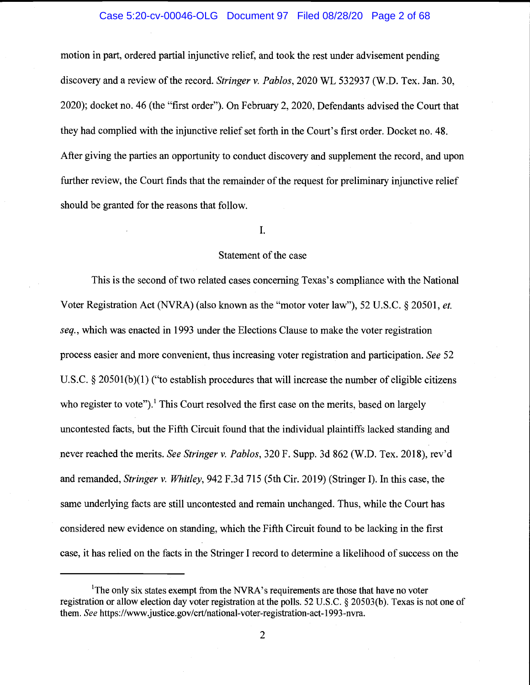#### Case 5:20-cv-00046-OLG Document 97 Filed 08/28/20 Page 2 of 68

motion in part, ordered partial injunctive relief, and took the rest under advisement pending discovery and a review of the record. Stringer v. Pablos, 2020 WL 532937 (W.D. Tex. Jan. 30, 2020); docket no. 46 (the "first order"). On February 2, 2020, Defendants advised the Court that they had complied with the injunctive relief set forth in the Court's first order. Docket no. 48. After giving the parties an opportunity to conduct discovery and supplement the record, and upon further review, the Court finds that the remainder of the request for preliminary injunctive relief should be granted for the reasons that follow.

#### I.

# Statement of the case

This is the second of two related cases concerning Texas's compliance with the National Voter Registration Act (NVRA) (also known as the "motor voter law"), 52 U.S.C. § 20501, et. seq., which was enacted in 1993 under the Elections Clause to make the voter registration process easier and more convenient, thus increasing voter registration and participation. See 52 U.S.C. § 20501(b)(1) ("to establish procedures that will increase the number of eligible citizens who register to vote").<sup>1</sup> This Court resolved the first case on the merits, based on largely uncontested facts, but the Fifth Circuit found that the individual plaintiffs lacked standing and never reached the merits. See Stringer v. Pablos, 320 F. Supp. 3d 862 (W.D. Tex. 2018), rev'd and remanded, Stringer v. Whitley, 942 F.3d 715 (5th Cir. 2019) (Stringer I). In this case, the same underlying facts are still uncontested and remain unchanged. Thus, while the Court has considered new evidence on standing, which the Fifth Circuit found to be lacking in the first case, it has relied on the facts in the Stringer I record to determine a likelihood of success on the

<sup>&</sup>lt;sup>1</sup>The only six states exempt from the NVRA's requirements are those that have no voter registration or allow election day voter registration at the polls. 52 U.S.C. § 20503(b). Texas is not one of them. See https://www.justice.gov/crt/national-voter-registration-act-1993-nvra.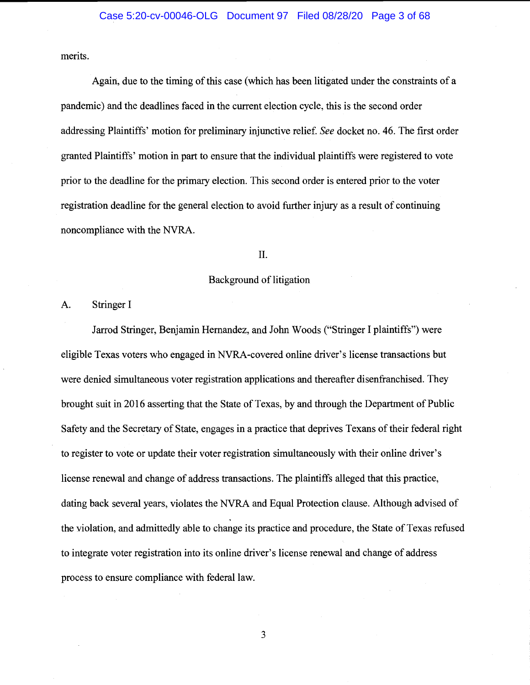merits.

Again, due to the timing of this case (which has been litigated under the constraints of a pandemic) and the deadlines faced in the current election cycle, this is the second order addressing Plaintiffs' motion for preliminary injunctive relief. See docket no. 46. The first order granted Plaintiffs' motion in part to ensure that the individual plaintiffs were registered to vote prior to the deadline for the primary election. This second order is entered prior to the voter registration deadline for the general election to avoid further injury as a result of continuing noncompliance with the NVRA.

#### II.

#### Background of litigation

A. Stringer I

Jarrod Stringer, Benjamin Hemandez, and John Woods ("Stringer I plaintiffs") were eligible Texas voters who engaged in NVRA-covered online driver's license transactions but were denied simultaneous voter registration applications and thereafter disenfranchised. They brought suit in 2016 asserting that the State of Texas, by and through the Department of Public Safety and the Secretary of State, engages in a practice that deprives Texans of their federal right to register to vote or update their voter registration simultaneously with their online driver's license renewal and change of address transactions. The plaintiffs alleged that this practice, dating back several years, violates the NYRA and Equal Protection clause. Although advised of the violation, and admittedly able to change its practice and procedure, the State of Texas refused to integrate voter registration into its online driver's license renewal and change of address process to ensure compliance with federal law.

 $\overline{3}$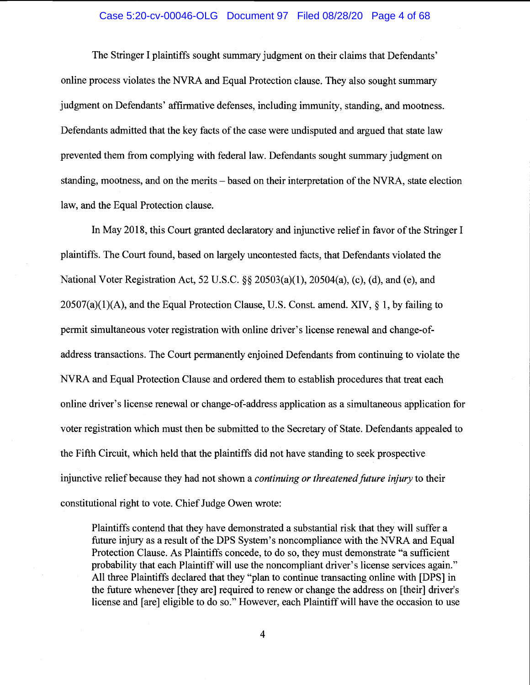#### Case 5:20-cv-00046-OLG Document 97 Filed 08/28/20 Page 4 of 68

The Stringer I plaintiffs sought summary judgment on their claims that Defendants' online process violates the NVRA and Equal Protection clause. They also sought summary judgment on Defendants' affirmative defenses, including immunity, standing, and mootness. Defendants admitted that the key facts of the case were undisputed and argued that state law prevented them from complying with federal law. Defendants sought summary judgment on standing, mootness, and on the merits – based on their interpretation of the NVRA, state election law, and the Equal Protection clause.

In May 2018, this Court granted declaratory and injunctive relief in favor of the Stringer I plaintiffs. The Court found, based on largely uncontested facts, that Defendants violated the National Voter Registration Act, 52 U.S.C. §§ 20503(a)(1), 20504(a), (c), (d), and (e), and  $20507(a)(1)(A)$ , and the Equal Protection Clause, U.S. Const. amend. XIV, § 1, by failing to permit simultaneous voter registration with online driver's license renewal and change-ofaddress transactions. The Court permanently enjoined Defendants from continuing to violate the NVRA and Equal Protection Clause and ordered them to establish procedures that treat each online driver's license renewal or change-of-address application as a simultaneous application for voter registration which must then be submitted to the Secretary of State. Defendants appealed to the Fifth Circuit, which held that the plaintiffs did not have standing to seek prospective injunctive relief because they had not shown a *continuing or threatened future injury* to their constitutional right to vote. Chief Judge Owen wrote:

Plaintiffs contend that they have demonstrated a substantial risk that they will suffer a future injury as a result of the DPS System's noncompliance with the NVRA and Equal Protection Clause. As Plaintiffs concede, to do so, they must demonstrate "a sufficient probability that each Plaintiff will use the noncompliant driver's license services again." All three Plaintiffs declared that they "plan to continue transacting online with [DPS] in the future whenever [they are] required to renew or change the address on [their] driver's license and [are] eligible to do so." However, each Plaintiff will have the occasion to use

 $\overline{\mathbf{4}}$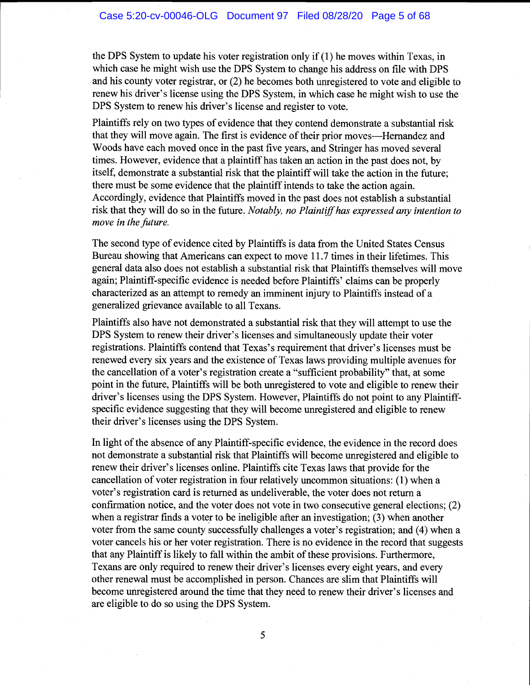the DPS System to update his voter registration only if(1) he moves within Texas, in which case he might wish use the DPS System to change his address on file with DPS and his county voter registrar, or (2) he becomes both unregistered to vote and eligible to renew his driver's license using the DPS System, in which case he might wish to use the DPS System to renew his driver's license and register to vote.

Plaintiffs rely on two types of evidence that they contend demonstrate a substantial risk that they will move again. The first is evidence of their prior moves—Hernandez and Woods have each moved once in the past five years, and Stringer has moved several times. However, evidence that a plaintiff has taken an action in the past does not, by itself, demonstrate a substantial risk that the plaintiff will take the action in the future; there must be some evidence that the plaintiff intends to take the action again. Accordingly, evidence that Plaintiffs moved in the past does not establish a substantial risk that they will do so in the future. Notably, no Plaintiff has expressed any intention to move in the future.

The second type of evidence cited by Plaintiffs is data from the United States Census Bureau showing that Americans can expect to move 11.7 times in their lifetimes. This general data also does not establish a substantial risk that Plaintiffs themselves will move again; Plaintiff-specific evidence is needed before Plaintiffs' claims can be properly characterized as an attempt to remedy an imminent injury to Plaintiffs instead of a generalized grievance available to all Texans.

Plaintiffs also have not demonstrated a substantial risk that they will attempt to use the DPS System to renew their driver's licenses and simultaneously update their voter registrations. Plaintiffs contend that Texas's requirement that driver's licenses must be renewed every six years and the existence of Texas laws providing multiple avenues for the cancellation of a voter's registration create a "sufficient probability" that, at some point in the future, Plaintiffs will be both unregistered to vote and eligible to renew their driver's licenses using the DPS System. However, Plaintiffs do not point to any Plaintiffspecific evidence suggesting that they will become unregistered and eligible to renew their driver's licenses using the DPS System.

In light of the absence of any Plaintiff-specific evidence, the evidence in the record does not demonstrate a substantial risk that Plaintiffs will become unregistered and eligible to renew their driver's licenses online. Plaintiffs cite Texas laws that provide for the cancellation of voter registration in four relatively uncommon situations: (1) when a voter's registration card is returned as undeliverable, the voter does not return a confirmation notice, and the voter does not vote in two consecutive general elections; (2) when a registrar finds a voter to be ineligible after an investigation; (3) when another voter from the same county successfully challenges a voter's registration; and (4) when a voter cancels his or her voter registration. There is no evidence in the record that suggests that any Plaintiff is likely to fall within the ambit of these provisions. Furthermore, Texans are only required to renew their driver's licenses every eight years, and every other renewal must be accomplished in person. Chances are slim that Plaintiffs will become unregistered around the time that they need to renew their driver's licenses and are eligible to do so using the DPS System.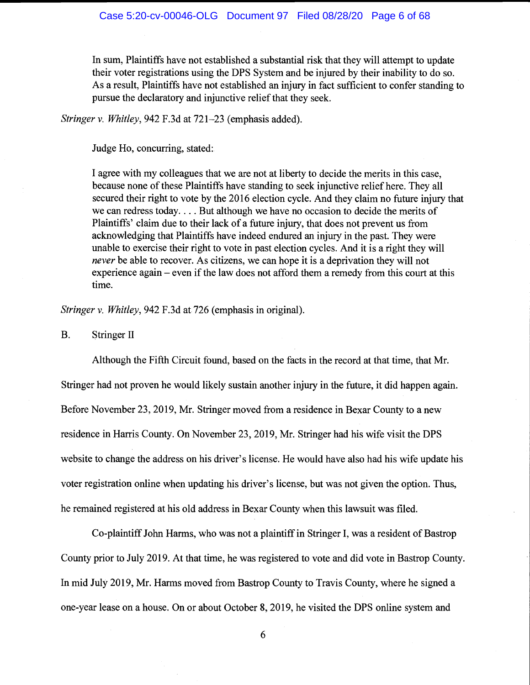In sum, Plaintiffs have not established a substantial risk that they will attempt to update their voter registrations using the DPS System and be injured by their inability to do so. As a result, Plaintiffs have not established an injury in fact sufficient to confer standing to pursue the declaratory and injunctive relief that they seek.

Stringer v. Whitley, 942 F.3d at 721–23 (emphasis added).

Judge Ho, concurring, stated:

I agree with my colleagues that we are not at liberty to decide the merits in this case, because none of these Plaintiffs have standing to seek injunctive relief here. They all secured their right to vote by the 2016 election cycle. And they claim no future injury that we can redress today. . . . But although we have no occasion to decide the merits of Plaintiffs' claim due to their lack of a future injury, that does not prevent us from acknowledging that Plaintiffs have indeed endured an injury in the past. They were unable to exercise their right to vote in past election cycles. And it is a right they will never be able to recover. As citizens, we can hope it is a deprivation they will not experience again  $-$  even if the law does not afford them a remedy from this court at this time.

Stringer v. Whitley, 942 F.3d at 726 (emphasis in original).

B. Stringer II

Although the Fifth Circuit found, based on the facts in the record at that time, that Mr. Stringer had not proven he would likely sustain another injury in the future, it did happen again. Before November 23, 2019, Mr. Stringer moved from a residence in Bexar County to a new residence in Harris County. On November 23, 2019, Mr. Stringer had his wife visit the DPS website to change the address on his driver's license. He would have also had his wife update his voter registration online when updating his driver's license, but was not given the option. Thus, he remained registered at his old address in Bexar County when this lawsuit was filed.

Co-plaintiff John Harms, who was not a plaintiff in Stringer I, was a resident of Bastrop County prior to July 2019. At that time, he was registered to vote and did vote in Bastrop County. In mid July 2019, Mr. Harms moved from Bastrop County to Travis County, where he signed a one-year lease on a house. On or about October 8, 2019, he visited the DPS online system and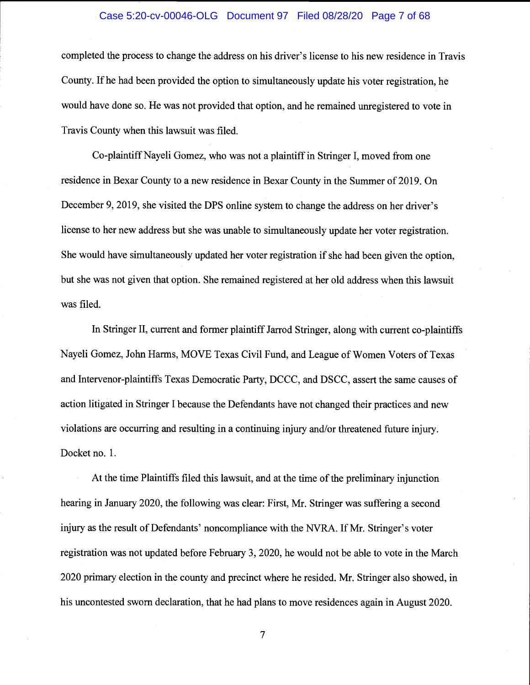#### Case 5:20-cv-00046-OLG Document 97 Filed 08/28/20 Page 7 of 68

completed the process to change the address on his driver's license to his new residence in Travis County. If he had been provided the option to simultaneously update his voter registration, he would have done so. He was not provided that option, and he remained unregistered to vote in Travis County when this lawsuit was filed.

Co-plaintiff Nayeli Gomez, who was not a plaintiff in Stringer I, moved from one residence in Bexar County to a new residence in Bexar County in the Summer of 2019. On December 9, 2019, she visited the DPS online system to change the address on her driver's license to her new address but she was unable to simultaneously update her voter registration. She would have simultaneously updated her voter registration if she had been given the option, but she was not given that option. She remained registered at her old address when this lawsuit was filed.

In Stringer II, current and former plaintiff Jarrod Stringer, along with current co-plaintiffs Nayeli Gomez, John Harms, MOVE Texas Civil Fund, and League of Women Voters of Texas and Intervenor-plaintiffs Texas Democratic Party, DCCC, and DSCC, assert the same causes of action litigated in Stringer I because the Defendants have not changed their practices and new violations are occurring and resulting in a continuing injury and/or threatened future injury. Docket no. 1.

At the time Plaintiffs filed this lawsuit, and at the time of the preliminary injunction hearing in January 2020, the following was clear: First, Mr. Stringer was suffering a second injury as the result of Defendants' noncompliance with the NVRA. If Mr. Stringer's voter registration was not updated before February 3, 2020, he would not be able to vote in the March 2020 primary election in the county and precinct where he resided. Mr. Stringer also showed, in his uncontested sworn declaration, that he had plans to move residences again in August 2020.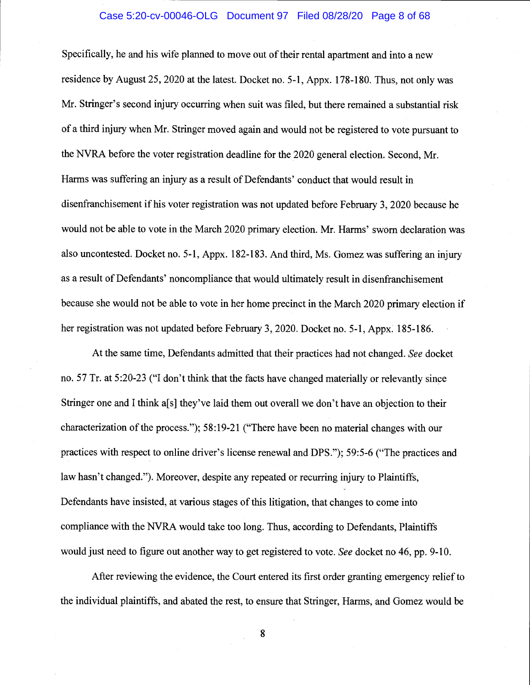#### Case 5:20-cv-00046-OLG Document 97 Filed 08/28/20 Page 8 of 68

Specifically, he and his wife planned to move out of their rental apartment and into a new residence by August 25, 2020 at the latest. Docket no. 5-1, Appx. 178-180. Thus, not only was Mr. Stringer's second injury occurring when suit was filed, but there remained a substantial risk of a third injury when Mr. Stringer moved again and would not be registered to vote pursuant to the NVRA before the voter registration deadline for the 2020 general election. Second, Mr. Harms was suffering an injury as a result of Defendants' conduct that would result in disenfranchisement if his voter registration was not updated before February 3, 2020 because he would not be able to vote in the March 2020 primary election. Mr. Harms' sworn declaration was also uncontested. Docket no. 5-1, Appx. 182-183. And third, Ms. Gomez was suffering an injury as a result of Defendants' noncompliance that would ultimately result in disenfranchisement because she would not be able to vote in her home precinct in the March 2020 primary election if her registration was not updated before February 3, 2020. Docket no. 5-1, Appx. 185-186.

At the same time, Defendants admitted that their practices had not changed. See docket no. 57 Tr. at 5:20-23 ("I don't think that the facts have changed materially or relevantly since Stringer one and I think a<sup>[s]</sup> they've laid them out overall we don't have an objection to their characterization of the process."); 58:19-21 ("There have been no material changes with our practices with respect to online driver's license renewal and DPS."); 59:5-6 ("The practices and law hasn't changed."). Moreover, despite any repeated or recurring injury to Plaintiffs, Defendants have insisted, at various stages of this litigation, that changes to come into compliance with the NVRA would take too long. Thus, according to Defendants, Plaintiffs would just need to figure out another way to get registered to vote. See docket no 46, pp. 9-10.

After reviewing the evidence, the Court entered its first order granting emergency relief to the individual plaintiffs, and abated the rest, to ensure that Stringer, Harms, and Gomez would be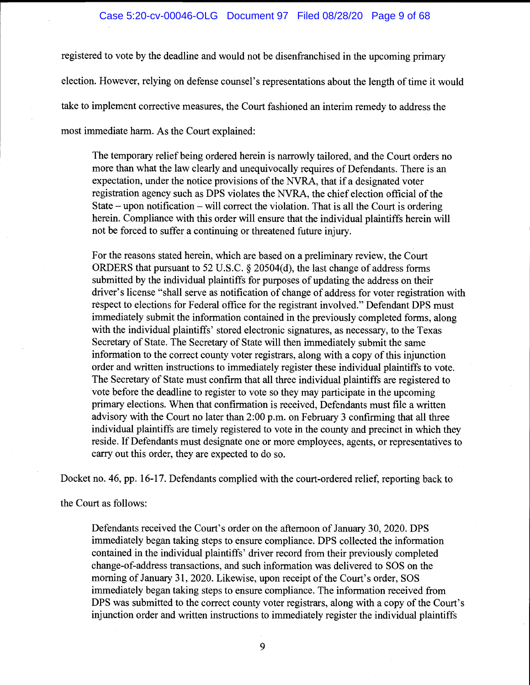registered to vote by the deadline and would not be disenfranchised in the upcoming primary election. However, relying on defense counsel's representations about the length of time it would take to implement corrective measures, the Court fashioned an interim remedy to address the most immediate harm. As the Court explained:

The temporary relief being ordered herein is narrowly tailored, and the Court orders no more than what the law clearly and unequivocally requires of Defendants. There is an expectation, under the notice provisions of the NVRA, that if a designated voter registration agency such as DPS violates the NYRA, the chief election official of the State – upon notification – will correct the violation. That is all the Court is ordering herein. Compliance with this order will ensure that the individual plaintiffs herein will not be forced to suffer a continuing or threatened future injury.

For the reasons stated herein, which are based on a preliminary review, the Court ORDERS that pursuant to 52 U.S.C. § 20504(d), the last change of address forms submitted by the individual plaintiffs for purposes of updating the address on their driver's license "shall serve as notification of change of address for voter registration with respect to elections for Federal office for the registrant involved." Defendant DPS must immediately submit the information contained in the previously completed forms, along with the individual plaintiffs' stored electronic signatures, as necessary, to the Texas Secretary of State. The Secretary of State will then immediately submit the same information to the correct county voter registrars, along with a copy of this injunction order and written instructions to immediately register these individual plaintiffs to vote. The Secretary of State must confirm that all three individual plaintiffs are registered to vote before the deadline to register to vote so they may participate in the upcoming primary elections. When that confirmation is received, Defendants must file a written advisory with the Court no later than 2:00 p.m. on February 3 confirming that all three individual plaintiffs are timely registered to vote in the county and precinct in which they reside. If Defendants must designate one or more employees, agents, or representatives to carry out this order, they are expected to do so.

Docket no. 46, pp. 16-17. Defendants complied with the court-ordered relief, reporting back to

the Court as follows:

Defendants received the Court's order on the afternoon of January 30, 2020. DPS immediately began taking steps to ensure compliance. DPS collected the information contained in the individual plaintiffs' driver record from their previously completed change-of-address transactions, and such information was delivered to SOS on the morning of January 31, 2020. Likewise, upon receipt of the Court's order, SOS immediately began taking steps to ensure compliance. The information received from DPS was submitted to the correct county voter registrars, along with a copy of the Court's injunction order and written instructions to immediately register the individual plaintiffs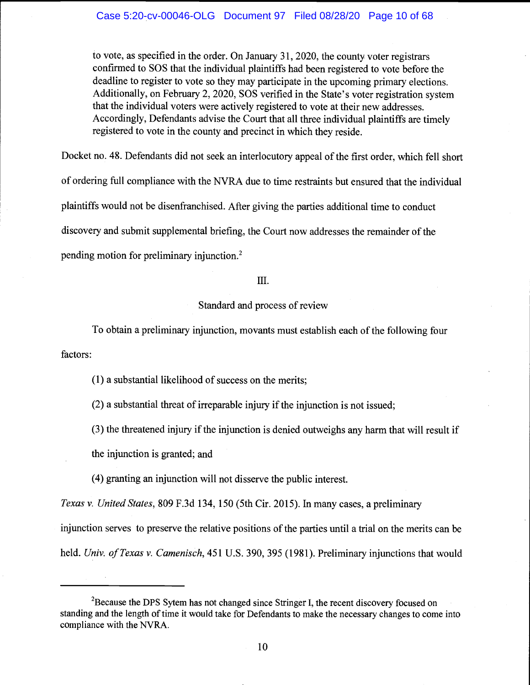to vote, as specified in the order. On January 31, 2020, the county voter registrars confirmed to SOS that the individual plaintiffs had been registered to vote before the deadline to register to vote so they may participate in the upcoming primary elections. Additionally, on February 2, 2020, SOS verified in the State's voter registration system that the individual voters were actively registered to vote at their new addresses. Accordingly, Defendants advise the Court that all three individual plaintiffs are timely registered to vote in the county and precinct in which they reside.

Docket no. 48. Defendants did not seek an interlocutory appeal of the first order, which fell short of ordering full compliance with the NVRA due to time restraints but ensured that the individual plaintiffs would not be disenfranchised. After giving the parties additional time to conduct discovery and submit supplemental briefing, the Court now addresses the remainder of the pending motion for preliminary injunction.2

#### III.

# Standard and process of review

factors: To obtain a preliminary injunction, movants must establish each of the following four

(1) a substantial likelihood of success on the merits;

(2) a substantial threat of irreparable injury if the injunction is not issued;

(3) the threatened injury if the injunction is denied outweighs any harm that will result if

the injunction is granted; and

(4) granting an injunction will not disserve the public interest.

Texas v. United States, 809 F.3d 134, 150 (5th Cir. 2015). In many cases, a preliminary injunction serves to preserve the relative positions of the parties until a trial on the merits can be held. Univ. of Texas v. Camenisch, 451 U.S. 390, 395 (1981). Preliminary injunctions that would

 $2B$ Because the DPS Sytem has not changed since Stringer I, the recent discovery focused on standing and the length of time it would take for Defendants to make the necessary changes to come into compliance with the NVRA.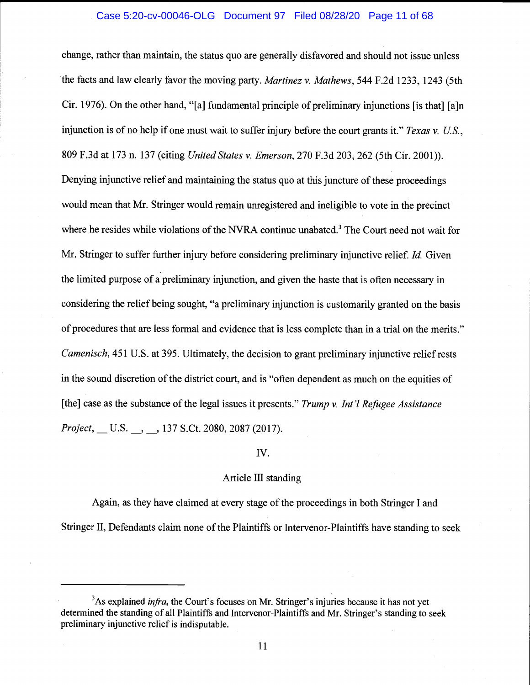#### Case 5:20-cv-00046-OLG Document 97 Filed 08/28/20 Page 11 of 68

change, rather than maintain, the status quo are generally disfavored and should not issue unless the facts and law clearly favor the moving party. Martinez v. Mathews, 544 F.2d 1233, 1243 (5th Cir. 1976). On the other hand, "[a] fundamental principle of preliminary injunctions [is that] [a]n injunction is of no help if one must wait to suffer injury before the court grants it." Texas v. U.S., 809 F.3d at 173 n. 137 (citing United States v. Emerson, 270 F.3d 203, 262 (5th Cir. 2001)). Denying injunctive relief and maintaining the status quo at this juncture of these proceedings would mean that Mr. Stringer would remain unregistered and ineligible to vote in the precinct where he resides while violations of the NVRA continue unabated.<sup>3</sup> The Court need not wait for Mr. Stringer to suffer further injury before considering preliminary injunctive relief. *Id.* Given the limited purpose of a preliminary injunction, and given the haste that is often necessary in considering the relief being sought, "a preliminary injunction is customarily granted on the basis of procedures that are less formal and evidence that is less complete than in a trial on the merits." Camenisch, 451 U.S. at 395. Ultimately, the decision to grant preliminary injunctive relief rests in the sound discretion of the district court, and is "often dependent as much on the equities of [the] case as the substance of the legal issues it presents." Trump v. Int'l Refugee Assistance Project, U.S. , 137 S.Ct. 2080, 2087 (2017).

# Iv.

# Article III standing

Again, as they have claimed at every stage of the proceedings in both Stringer I and Stringer II, Defendants claim none of the Plaintiffs or Intervenor-Plaintiffs have standing to seek

 $3$ As explained *infra*, the Court's focuses on Mr. Stringer's injuries because it has not yet determined the standing of all Plaintiffs and Intervenor-Plaintiffs and Mr. Stringer's standing to seek preliminary injunctive relief is indisputable.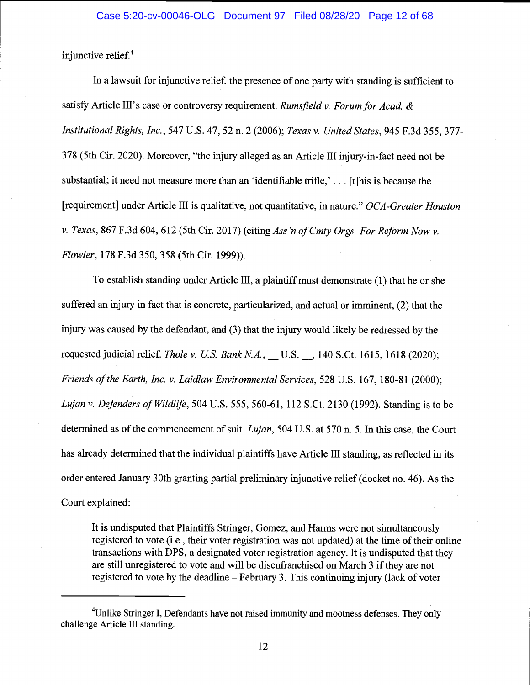injunctive relief.<sup>4</sup>

In a lawsuit for injunctive relief, the presence of one party with standing is sufficient to satisfy Article III's case or controversy requirement. Rumsfield v. Forum for Acad.  $\&$ Institutional Rights, Inc., 547 U.S. 47, 52 n. 2 (2006); Texas v. United States, 945 F.3d 355, 377- 378 (5th Cir. 2020). Moreover, "the injury alleged as an Article III injury-in-fact need not be substantial; it need not measure more than an 'identifiable trifle,' ... [t]his is because the [requirement] under Article III is qualitative, not quantitative, in nature." OCA-Greater Houston v. Texas, 867 F.3d 604, 612 (5th Cir. 2017) (citing Ass 'n of Cmty Orgs. For Reform Now v. Flowler, 178 F.3d 350, 358 (5th Cir. 1999)).

To establish standing under Article III, a plaintiff must demonstrate (1) that he or she suffered an injury in fact that is concrete, particularized, and actual or imminent, (2) that the injury was caused by the defendant, and (3) that the injury would likely be redressed by the requested judicial relief. Thole v. U.S. Bank N.A., U.S. , 140 S.Ct. 1615, 1618 (2020); Friends of the Earth, Inc. v. Laidlaw Environmental Services, 528 U.S. 167, 180-81 (2000); Lujan v. Defenders of Wildlife, 504 U.S. 555, 560-61, 112 S.Ct. 2130 (1992). Standing is to be determined as of the commencement of suit. *Lujan*, 504 U.S. at 570 n. 5. In this case, the Court has already determined that the individual plaintiffs have Article III standing, as reflected in its order entered January 30th granting partial preliminary injunctive relief (docket no. 46). As the Court explained:

It is undisputed that Plaintiffs Stringer, Gomez, and Harms were not simultaneously registered to vote (i.e., their voter registration was not updated) at the time of their online transactions with DPS, a designated voter registration agency. It is undisputed that they are still unregistered to vote and will be disenfranchised on March 3 if they are not registered to vote by the deadline  $-$  February 3. This continuing injury (lack of voter

<sup>&</sup>lt;sup>4</sup>Unlike Stringer I, Defendants have not raised immunity and mootness defenses. They only challenge Article III standing.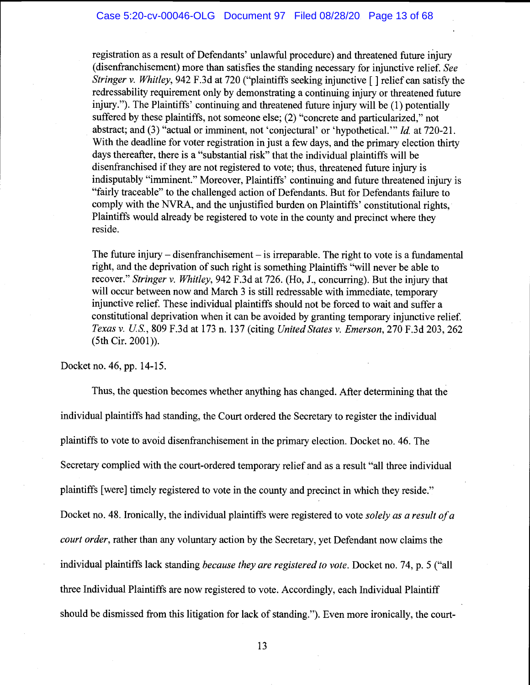registration as a result of Defendants' unlawful procedure) and threatened future injury (disenfranchisement) more than satisfies the standing necessary for injunctive relief. See Stringer v. Whitley, 942 F.3d at 720 ("plaintiffs seeking injunctive  $\lceil \cdot \rceil$  relief can satisfy the redressability requirement only by demonstrating a continuing injury or threatened future injury."). The Plaintiffs' continuing and threatened future injury will be (1) potentially suffered by these plaintiffs, not someone else; (2) "concrete and particularized," not abstract; and (3) "actual or imminent, not 'conjectural' or 'hypothetical." Id. at 720-21. With the deadline for voter registration in just a few days, and the primary election thirty days thereafter, there is a "substantial risk" that the individual plaintiffs will be disenfranchised if they are not registered to vote; thus, threatened future injury is indisputably "imminent." Moreover, Plaintiffs' continuing and future threatened injury is "fairly traceable" to the challenged action of Defendants. But for Defendants failure to comply with the NVRA, and the unjustified burden on Plaintiffs' constitutional rights, Plaintiffs would already be registered to vote in the county and precinct where they reside.

The future injury – disenfranchisement – is irreparable. The right to vote is a fundamental right, and the deprivation of such right is something Plaintiffs "will never be able to recover." Stringer v. Whitley, 942 F.3d at 726. (Ho, J., concurring). But the injury that will occur between now and March 3 is still redressable with immediate, temporary injunctive relief. These individual plaintiffs should not be forced to wait and suffer a constitutional deprivation when it can be avoided by granting temporary injunctive relief. Texas v. US., 809 F.3d at 173 n. 137 (citing United States v. Emerson, 270 F.3d 203, 262 (5th Cir. 2001)).

Docket no. 46, pp. 14-15.

Thus, the question becomes whether anything has changed. After determining that the individual plaintiffs had standing, the Court ordered the Secretary to register the individual plaintiffs to vote to avoid disenfranchisement in the primary election. Docket no. 46. The Secretary complied with the court-ordered temporary relief and as a result "all three individual plaintiffs [were] timely registered to vote in the county and precinct in which they reside." Docket no. 48. Ironically, the individual plaintiffs were registered to vote solely as a result of a court order, rather than any voluntary action by the Secretary, yet Defendant now claims the individual plaintiffs lack standing because they are registered to vote. Docket no. 74, p. 5 ("all three Individual Plaintiffs are now registered to vote. Accordingly, each Individual Plaintiff should be dismissed from this litigation for lack of standing."). Even more ironically, the court-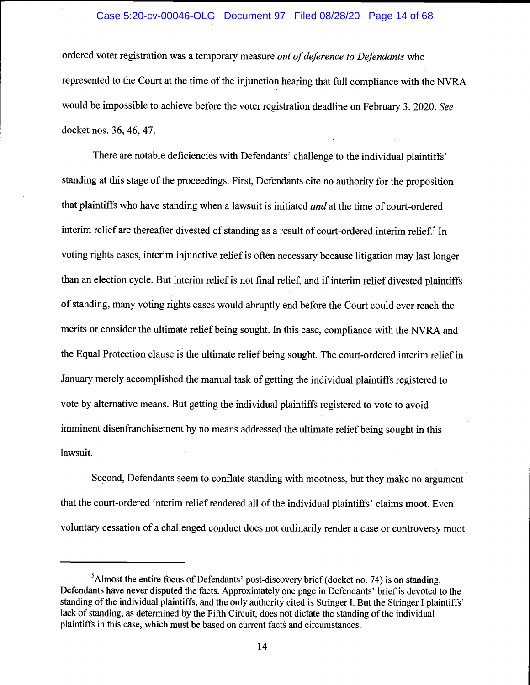# Case 5:20-cv-00046-OLG Document 97 Filed 08/28/20 Page 14 of 68

ordered voter registration was a temporary measure *out of deference to Defendants* who represented to the Court at the time of the injunction hearing that full compliance with the NVRA would be impossible to achieve before the voter registration deadline on February 3, 2020. See docket nos. 36, 46, 47.

There are notable deficiencies with Defendants' challenge to the individual plaintiffs' standing at this stage of the proceedings. First, Defendants cite no authority for the proposition that plaintiffs who have standing when a lawsuit is initiated *and* at the time of court-ordered interim relief are thereafter divested of standing as a result of court-ordered interim relief.<sup>5</sup> In voting rights cases, interim injunctive relief is often necessary because litigation may last longer than an election cycle. But interim relief is not final relief, and if interim relief divested plaintiffs of standing, many voting rights cases would abruptly end before the Court could ever reach the merits or consider the ultimate relief being sought. In this case, compliance with the NVRA and the Equal Protection clause is the ultimate relief being sought. The court-ordered interim relief in January merely accomplished the manual task of getting the individual plaintiffs registered to vote by alternative means. But getting the individual plaintiffs registered to vote to avoid imminent disenfranchisement by no means addressed the ultimate relief being sought in this lawsuit.

Second, Defendants seem to conflate standing with mootness, but they make no argument that the court-ordered interim relief rendered all of the individual plaintiffs' claims moot. Even voluntary cessation of a challenged conduct does not ordinarily render a case or controversy moot

 $<sup>5</sup>$ Almost the entire focus of Defendants' post-discovery brief (docket no. 74) is on standing.</sup> Defendants have never disputed the facts. Approximately one page in Defendants' brief is devoted to the standing of the individual plaintiffs, and the only authority cited is Stringer I. But the Stringer I plaintiffs' lack of standing, as determined by the Fifth Circuit, does not dictate the standing of the individual plaintiffs in this case, which must be based on current facts and circumstances.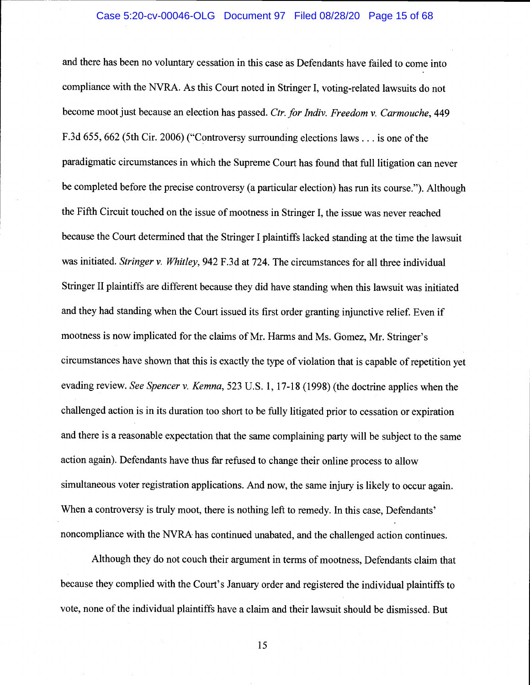#### Case 5:20-cv-00046-OLG Document 97 Filed 08/28/20 Page 15 of 68

and there has been no voluntary cessation in this case as Defendants have failed to come into compliance with the NYRA. As this Court noted in Stringer I, voting-related lawsuits do not become moot just because an election has passed. Ctr. for Indiv. Freedom v. Carmouche, 449 F.3d 655, 662 (5th Cir. 2006) ("Controversy surrounding elections laws. . . is one of the paradigmatic circumstances in which the Supreme Court has found that full litigation can never be completed before the precise controversy (a particular election) has run its course."). Although the Fifth Circuit touched on the issue of mootness in Stringer I, the issue was never reached because the Court determined that the Stringer I plaintiffs lacked standing at the time the lawsuit was initiated. Stringer v. Whitley, 942 F.3d at 724. The circumstances for all three individual Stringer II plaintiffs are different because they did have standing when this lawsuit was initiated and they had standing when the Court issued its first order granting injunctive relief. Even if mootness is now implicated for the claims of Mr. Harms and Ms. Gomez, Mr. Stringer's circumstances have shown that this is exactly the type of violation that is capable of repetition yet evading review. See Spencer v. Kemna, 523 U.S. 1, 17-18 (1998) (the doctrine applies when the challenged action is in its duration too short to be fully litigated prior to cessation or expiration and there is a reasonable expectation that the same complaining party will be subject to the same action again). Defendants have thus far refused to change their online process to allow simultaneous voter registration applications. And now, the same injury is likely to occur again. When a controversy is truly moot, there is nothing left to remedy. In this case, Defendants' noncompliance with the NVRA has continued unabated, and the challenged action continues.

Although they do not couch their argument in terms of mootness, Defendants claim that because they complied with the Court's January order and registered the individual plaintiffs to vote, none of the individual plaintiffs have a claim and their lawsuit should be dismissed. But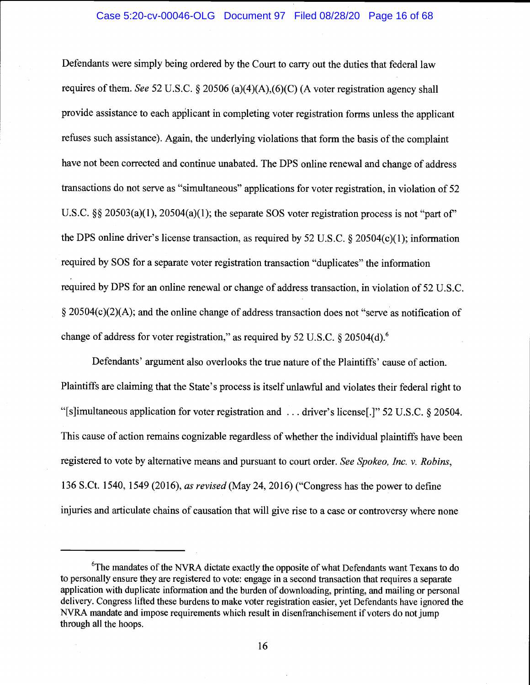Defendants were simply being ordered by the Court to carry out the duties that federal law requires of them. See 52 U.S.C. § 20506 (a)(4)(A),(6)(C) (A voter registration agency shall provide assistance to each applicant in completing voter registration forms unless the applicant refuses such assistance). Again, the underlying violations that form the basis of the complaint have not been corrected and continue unabated. The DPS online renewal and change of address transactions do not serve as "simultaneous" applications for voter registration, in violation of 52 U.S.C.  $\S$ § 20503(a)(1), 20504(a)(1); the separate SOS voter registration process is not "part of" the DPS online driver's license transaction, as required by 52 U. S.C. § 20504(c)( 1); information required by SOS for a separate voter registration transaction "duplicates" the information required by DPS for an online renewal or change of address transaction, in violation of 52 U.S.C. § 20504(c)(2)(A); and the online change of address transaction does not "serve as notification of change of address for voter registration," as required by 52 U.S.C. § 20504(d).<sup>6</sup>

Defendants' argument also overlooks the true nature of the Plaintiffs' cause of action. Plaintiffs are claiming that the State's process is itself unlawful and violates their federal right to "[s}imultaneous application for voter registration and .. . driver's license[.]" 52 U.S.C. § 20504. This cause of action remains cognizable regardless of whether the individual plaintiffs have been registered to vote by alternative means and pursuant to court order. See Spokeo, Inc. v. Robins, 136 S.Ct. 1540, 1549 (2016), as revised (May 24, 2016) ("Congress has the power to define injuries and articulate chains of causation that will give rise to a case or controversy where none

<sup>&</sup>lt;sup>6</sup>The mandates of the NVRA dictate exactly the opposite of what Defendants want Texans to do to personally ensure they are registered to vote: engage in a second transaction that requires a separate application with duplicate information and the burden of downloading, printing, and mailing or personal delivery. Congress lifted these burdens to make voter registration easier, yet Defendants have ignored the NVRA mandate and impose requirements which result in disenfranchisement if voters do not jump through all the hoops.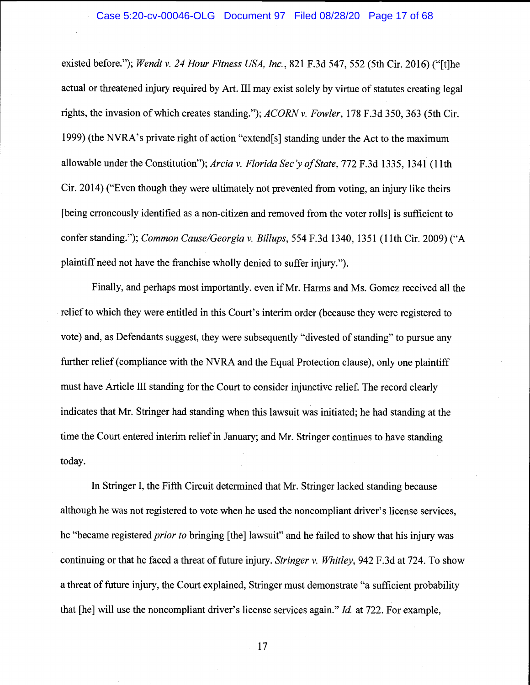existed before."); Wendt v. 24 Hour Fitness USA, Inc., 821 F.3d 547, 552 (5th Cir. 2016) ("[t]he actual or threatened injury required by Art. III may exist solely by virtue of statutes creating legal rights, the invasion of which creates standing."); ACORN v. Fowler, 178 F.3d 350, 363 (5th Cir. 1999) (the NVRA's private right of action "extend[s] standing under the Act to the maximum allowable under the Constitution"); Arcia v. Florida Sec 'y of State, 772 F.3d 1335, 1341 (11th Cir. 2014) ("Even though they were ultimately not prevented from voting, an injury like theirs [being erroneously identified as a non-citizen and removed from the voter rolls] is sufficient to confer standing."); Common Cause/Georgia v. Billups, 554 F.3d 1340, 1351 (11th Cir. 2009) ("A plaintiff need not have the franchise wholly denied to suffer injury.").

Finally, and perhaps most importantly, even if Mr. Harms and Ms. Gomez received all the relief to which they were entitled in this Court's interim order (because they were registered to vote) and, as Defendants suggest, they were subsequently "divested of standing" to pursue any further relief (compliance with the NVRA and the Equal Protection clause), only one plaintiff must have Article III standing for the Court to consider injunctive relief. The record clearly indicates that Mr. Stringer had standing when this lawsuit was initiated; he had standing at the time the Court entered interim relief in January; and Mr. Stringer continues to have standing today.

In Stringer I, the Fifth Circuit determined that Mr. Stringer lacked standing because although he was not registered to vote when he used the noncompliant driver's license services, he "became registered *prior to* bringing [the] lawsuit" and he failed to show that his injury was continuing or that he faced a threat of future injury. Stringer v. Whitley, 942 F.3d at 724. To show a threat of future injury, the Court explained, Stringer must demonstrate "a sufficient probability that [he] will use the noncompliant driver's license services again." Id. at 722. For example,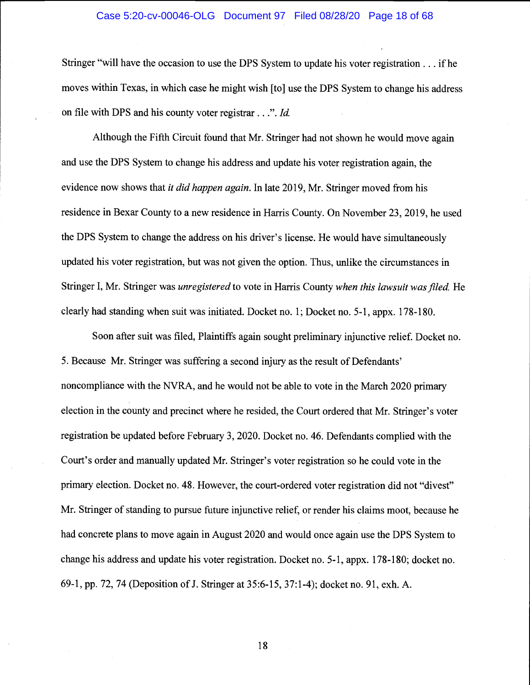#### Case 5:20-cv-00046-OLG Document 97 Filed 08/28/20 Page 18 of 68

Stringer "will have the occasion to use the DPS System to update his voter registration. . . if he moves within Texas, in which case he might wish [to] use the DPS System to change his address on file with DPS and his county voter registrar...". Id.

Although the Fifth Circuit found that Mr. Stringer had not shown he would move again and use the DPS System to change his address and update his voter registration again, the evidence now shows that *it did happen again*. In late 2019, Mr. Stringer moved from his residence in Bexar County to a new residence in Harris County. On November 23, 2019, he used the DPS System to change the address on his driver's license. He would have simultaneously updated his voter registration, but was not given the option. Thus, unlike the circumstances in Stringer I, Mr. Stringer was *unregistered* to vote in Harris County when this lawsuit was filed. He clearly had standing when suit was initiated. Docket no. 1; Docket no. 5-1, appx. 178-180.

Soon after suit was filed, Plaintiffs again sought preliminary injunctive relief. Docket no. 5. Because Mr. Stringer was suffering a second injury as the result of Defendants' noncompliance with the NVRA, and he would not be able to vote in the March 2020 primary election in the county and precinct where he resided, the Court ordered that Mr. Stringer's voter registration be updated before February 3, 2020. Docket no. 46. Defendants complied with the Court's order and manually updated Mr. Stringer's voter registration so he could vote in the primary election. Docket no. 48. However, the court-ordered voter registration did not "divest" Mr. Stringer of standing to pursue future injunctive relief, or render his claims moot, because he had concrete plans to move again in August 2020 and would once again use the DPS System to change his address and update his voter registration. Docket no. 5-1, appx. 178-180; docket no. 69-1, pp. 72, 74 (Deposition of J. Stringer at 35:6-15, 37:1-4); docket no. 91, exh. A.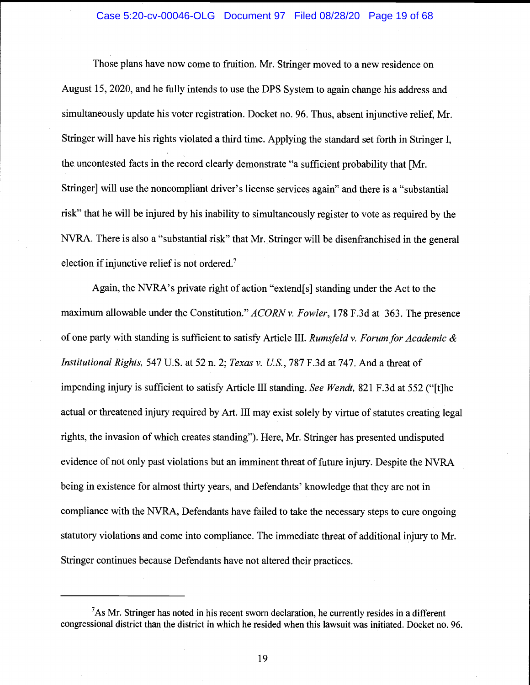### Case 5:20-cv-00046-OLG Document 97 Filed 08/28/20 Page 19 of 68

Those plans have now come to fruition. Mr. Stringer moved to a new residence on August 15, 2020, and he fully intends to use the DPS System to again change his address and simultaneously update his voter registration. Docket no. 96. Thus, absent injunctive relief, Mr. Stringer will have his rights violated a third time. Applying the standard set forth in Stringer I, the uncontested facts in the record clearly demonstrate "a sufficient probability that [Mr. Stringer] will use the noncompliant driver's license services again" and there is a "substantial risk" that he will be injured by his inability to simultaneously register to vote as required by the NVRA. There is also a "substantial risk" that Mr. Stringer will be disenfranchised in the general election if injunctive relief is not ordered.7

Again, the NVRA's private right of action "extend[s] standing under the Act to the maximum allowable under the Constitution." ACORN v. Fowler, 178 F.3d at 363. The presence of one party with standing is sufficient to satisfy Article III. Rumsfeld v. Forum for Academic  $\&$ Institutional Rights, 547 U.S. at 52 n. 2; Texas v. U.S., 787 F.3d at 747. And a threat of impending injury is sufficient to satisfy Article III standing. See Wendt, 821 F.3d at 552 ("[t]he actual or threatened injury required by Art. III may exist solely by virtue of statutes creating legal rights, the invasion of which creates standing"). Here, Mr. Stringer has presented undisputed evidence of not only past violations but an imminent threat of future injury. Despite the NVRA being in existence for almost thirty years, and Defendants' knowledge that they are not in compliance with the NYRA, Defendants have failed to take the necessary steps to cure ongoing statutory violations and come into compliance. The immediate threat of additional injury to Mr. Stringer continues because Defendants have not altered their practices.

 $<sup>7</sup>$ As Mr. Stringer has noted in his recent sworn declaration, he currently resides in a different</sup> congressional district than the district in which he resided when this lawsuit was initiated. Docket no. 96.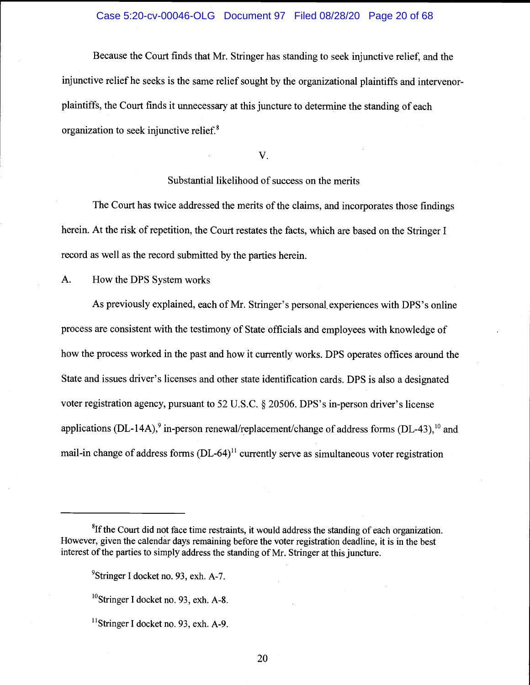# Case 5:20-cv-00046-OLG Document 97 Filed 08/28/20 Page 20 of 68

Because the Court finds that Mr. Stringer has standing to seek injunctive relief, and the injunctive relief he seeks is the same relief sought by the organizational plaintiffs and intervenorplaintiffs, the Court finds it unnecessary at this juncture to determine the standing of each organization to seek injunctive relief.<sup>8</sup>

V.

# Substantial likelihood of success on the merits

The Court has twice addressed the merits of the claims, and incorporates those findings herein. At the risk of repetition, the Court restates the facts, which are based on the Stringer I record as well as the record submitted by the parties herein.

A. How the DPS System works

As previously explained, each of Mr. Stringer's personal, experiences with DPS 's online process are consistent with the testimony of State officials and employees with knowledge of how the process worked in the past and how it currently works. DPS operates offices around the State and issues driver's licenses and other state identification cards. DPS is also a designated voter registration agency, pursuant to 52 U.S.C. § 20506. DPS's in-person driver's license applications (DL-14A),<sup>9</sup> in-person renewal/replacement/change of address forms (DL-43),<sup>10</sup> and mail-in change of address forms (DL-64)<sup>11</sup> currently serve as simultaneous voter registration

 ${}^{8}$ If the Court did not face time restraints, it would address the standing of each organization. However, given the calendar days remaining before the voter registration deadline, it is in the best interest of the parties to simply address the standing of Mr. Stringer at this juncture.

<sup>&</sup>lt;sup>9</sup>Stringer I docket no. 93, exh. A-7.

 $^{10}$ Stringer I docket no. 93, exh. A-8.

 $<sup>11</sup>$ Stringer I docket no. 93, exh. A-9.</sup>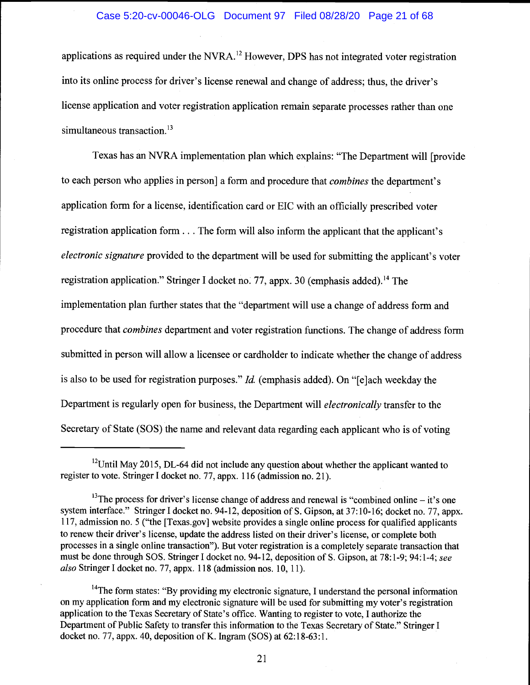# Case 5:20-cv-00046-OLG Document 97 Filed 08/28/20 Page 21 of 68

applications as required under the NVRA.<sup>12</sup> However, DPS has not integrated voter registration into its online process for driver's license renewal and change of address; thus, the driver's license application and voter registration application remain separate processes rather than one simultaneous transaction.<sup>13</sup>

Texas has an NVRA implementation plan which explains: "The Department will [provide to each person who applies in person] a form and procedure that combines the department's application form for a license, identification card or EIC with an officially prescribed voter registration application form. . . The form will also inform the applicant that the applicant's electronic signature provided to the department will be used for submitting the applicant's voter registration application." Stringer I docket no. 77, appx. 30 (emphasis added).<sup>14</sup> The implementation plan further states that the "department will use a change of address form and procedure that combines department and voter registration functions. The change of address form submitted in person will allow a licensee or cardholder to indicate whether the change of address is also to be used for registration purposes."  $Id$ . (emphasis added). On "[e]ach weekday the Department is regularly open for business, the Department will *electronically* transfer to the Secretary of State (SOS) the name and relevant data regarding each applicant who is of voting

<sup>&</sup>lt;sup>12</sup>Until May 2015, DL-64 did not include any question about whether the applicant wanted to register to vote. Stringer I docket no. 77, appx. 116 (admission no. 21).

 $^{13}$ The process for driver's license change of address and renewal is "combined online – it's one system interface." Stringer I docket no. 94-12, deposition of S. Gipson, at 37:10-16; docket no. 77, appx. 117, admission no. 5 ("the [Texas.gov] website provides a single online process for qualified applicants to renew their driver's license, update the address listed on their driver's license, or complete both processes in a single online transaction"). But voter registration is a completely separate transaction that must be done through SOS. Stringer I docket no. 94-12, deposition of S. Gipson, at 78:1-9; 94:1-4; see also Stringer I docket no. 77, appx. 118 (admission nos. 10, 11).

<sup>&</sup>lt;sup>14</sup>The form states: "By providing my electronic signature, I understand the personal information on my application form and my electronic signature will be used for submitting my voter's registration application to the Texas Secretary of State's office. Wanting to register to vote, I authorize the Department of Public Safety to transfer this information to the Texas Secretary of State." Stringer I docket no. 77, appx. 40, deposition of K. Ingram (SOS) at 62:18-63:1.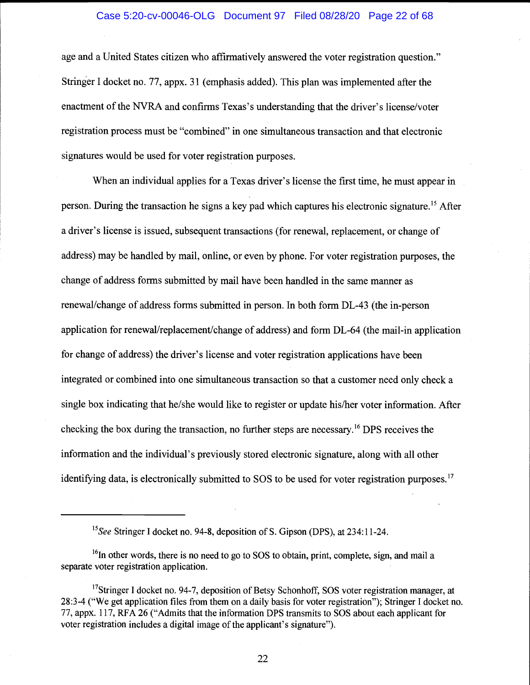## Case 5:20-cv-00046-OLG Document 97 Filed 08/28/20 Page 22 of 68

age and a United States citizen who affirmatively answered the voter registration question." Stringer I docket no. 77, appx. 31 (emphasis added). This plan was implemented after the enactment of the NVRA and confirms Texas's understanding that the driver's license/voter registration process must be "combined" in one simultaneous transaction and that electronic signatures would be used for voter registration purposes.

When an individual applies for a Texas driver's license the first time, he must appear in person. During the transaction he signs a key pad which captures his electronic signature.15 After a driver's license is issued, subsequent transactions (for renewal, replacement, or change of address) may be handled by mail, online, or even by phone. For voter registration purposes, the change of address forms submitted by mail have been handled in the same manner as renewal/change of address forms submitted in person. In both form DL-43 (the in-person application for renewal/replacement/change of address) and form DL-64 (the mail-in application for change of address) the driver's license and voter registration applications have been integrated or combined into one simultaneous transaction so that a customer need only check a single box indicating that he/she would like to register or update his/her voter information. After checking the box during the transaction, no further steps are necessary.16 DPS receives the information and the individual's previously stored electronic signature, along with all other identifying data, is electronically submitted to SOS to be used for voter registration purposes.<sup>17</sup>

<sup>&</sup>lt;sup>15</sup>See Stringer I docket no. 94-8, deposition of S. Gipson (DPS), at 234:11-24.

 $16$  in other words, there is no need to go to SOS to obtain, print, complete, sign, and mail a separate voter registration application.

<sup>&</sup>lt;sup>17</sup>Stringer I docket no. 94-7, deposition of Betsy Schonhoff, SOS voter registration manager, at 28:3-4 ("We get application files from them on a daily basis for voter registration"); Stringer I docket no. 77, appx. 117, RFA 26 ("Admits that the information DPS transmits to SOS about each applicant for voter registration includes a digital image of the applicant's signature").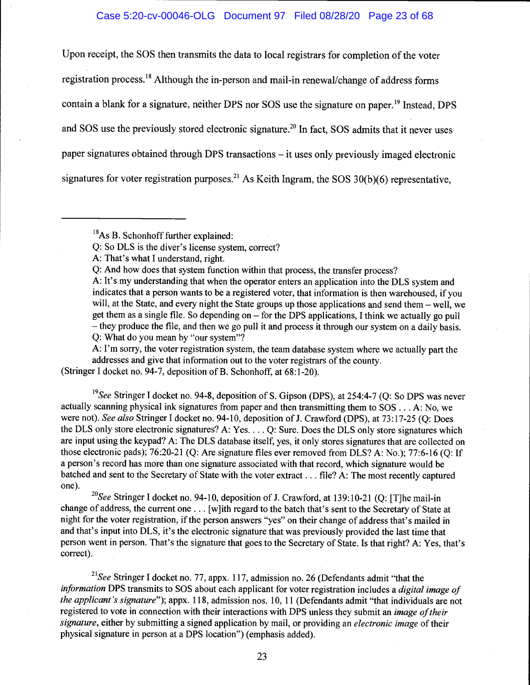## Case 5:20-cv-00046-OLG Document 97 Filed 08/28/20 Page 23 of 68

Upon receipt, the SOS then transmits the data to local registrars for completion of the voter registration process.'8 Although the in-person and mail-in renewal/change of address forms contain a blank for a signature, neither DPS nor SOS use the signature on paper.<sup>19</sup> Instead, DPS and SOS use the previously stored electronic signature.<sup>20</sup> In fact, SOS admits that it never uses paper signatures obtained through DPS transactions – it uses only previously imaged electronic signatures for voter registration purposes.<sup>21</sup> As Keith Ingram, the SOS  $30(b)(6)$  representative,

 $^{18}$ As B. Schonhoff further explained:

Q: So DLS is the diver's license system, correct?

A: That's what I understand, right.

Q: And how does that system function within that process, the transfer process?

A: It's my understanding that when the operator enters an application into the DLS system and indicates that a person wants to be a registered voter, that information is then warehoused, if you will, at the State, and every night the State groups up those applications and send them  $-$  well, we get them as a single file. So depending on  $-$  for the DPS applications, I think we actually go pull - they produce the file, and then we go pull it and process it through our system on a daily basis. Q: What do you mean by "our system"?

A: I'm sorry, the voter registration system, the team database system where we actually part the addresses and give that information out to the voter registrars of the county.

(Stringer I docket no. 94-7, deposition of B. Schonhoff, at 68:1-20).

<sup>19</sup>See Stringer I docket no. 94-8, deposition of S. Gipson (DPS), at 254:4-7 (Q: So DPS was never actually scanning physical ink signatures from paper and then transmitting them to SOS . . . A: No, we were not). See also Stringer I docket no. 94-10, deposition of J. Crawford (DPS), at 73:17-25 (Q: Does the DLS only store electronic signatures? A: Yes. . . . Q: Sure. Does the DLS only store signatures which are input using the keypad? A: The DLS database itself, yes, it only stores signatures that are collected on those electronic pads); 76:20-21 (Q: Are signature files ever removed from DLS? A: No.); 77:6-16 (Q: If a person's record has more than one signature associated with that record, which signature would be batched and sent to the Secretary of State with the voter extract. . . file? A: The most recently captured one).

<sup>20</sup>See Stringer I docket no. 94-10, deposition of J. Crawford, at 139:10-21 (Q: [T]he mail-in change of address, the current one. . . [w]ith regard to the batch that's sent to the Secretary of State at night for the voter registration, if the person answers "yes" on their change of address that's mailed in and that's input into DLS, it's the electronic signature that was previously provided the last time that person went in person. That's the signature that goes to the Secretary of State. Is that right? A: Yes, that's correct).

<sup>21</sup>See Stringer I docket no. 77, appx. 117, admission no. 26 (Defendants admit "that the information DPS transmits to SOS about each applicant for voter registration includes a digital image of the applicant's signature"); appx. 118, admission nos. 10, 11 (Defendants admit "that individuals are not registered to vote in connection with their interactions with DPS unless they submit an *image of their* signature, either by submitting a signed application by mail, or providing an electronic image of their physical signature in person at a DPS location") (emphasis added).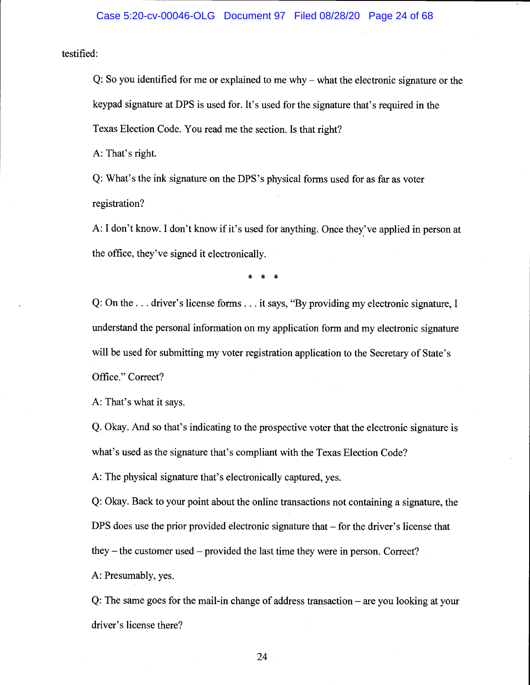testified:

Q: So you identified for me or explained to me why  $-$  what the electronic signature or the keypad signature at DPS is used for. It's used for the signature that's required in the Texas Election Code. You read me the section. Is that right?

A: That's right.

Q: What's the ink signature on the DPS's physical forms used for as far as voter registration?

A: I don't know. I don't know if it's used for anything. Once they've applied in person at the office, they've signed it electronically.

\* \* \*

Q: On the. . . driver's license forms. . . it says, "By providing my electronic signature, I understand the personal information on my application form and my electronic signature will be used for submitting my voter registration application to the Secretary of State's Office." Correct?

A: That's what it says.

Q. Okay. And so that's indicating to the prospective voter that the electronic signature is what's used as the signature that's compliant with the Texas Election Code?

A: The physical signature that's electronically captured, yes.

Q: Okay. Back to your point about the online transactions not containing a signature, the DPS does use the prior provided electronic signature that  $-$  for the driver's license that they  $-$  the customer used  $-$  provided the last time they were in person. Correct?

A: Presumably, yes.

Q: The same goes for the mail-in change of address transaction  $-\alpha$  vou looking at your driver's license there?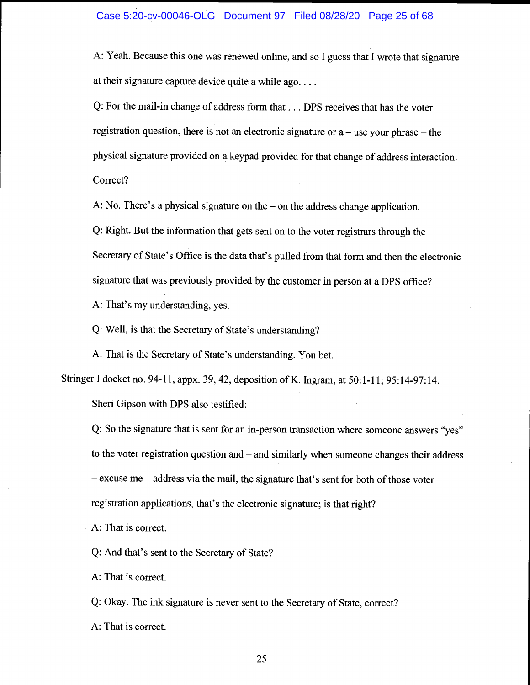A: Yeah. Because this one was renewed online, and so I guess that I wrote that signature at their signature capture device quite a while ago...

Q: For the mail-in change of address form that. . . DPS receives that has the voter registration question, there is not an electronic signature or  $a$  – use your phrase – the physical signature provided on a keypad provided for that change of address interaction. Correct?

A: No. There's a physical signature on the  $-$  on the address change application.

Q: Right. But the information that gets sent on to the voter registrars through the Secretary of State's Office is the data that's pulled from that form and then the electronic signature that was previously provided by the customer in person at a DPS office? A: That's my understanding, yes.

Q: Well, is that the Secretary of State's understanding?

A: That is the Secretary of State's understanding. You bet.

Stringer I docket no. 94-11, appx. 39, 42, deposition of K. Ingram, at 50:1-11; 95:14-97:14.

Sheri Gipson with DPS also testified:

Q: So the signature that is sent for an in-person transaction where someone answers "yes" to the voter registration question and  $-$  and similarly when someone changes their address  $-$  excuse me  $-$  address via the mail, the signature that's sent for both of those voter registration applications, that's the electronic signature; is that right?

A: That is correct.

Q: And that's sent to the Secretary of State?

A: That is correct.

Q: Okay. The ink signature is never sent to the Secretary of State, correct?

A: That is correct.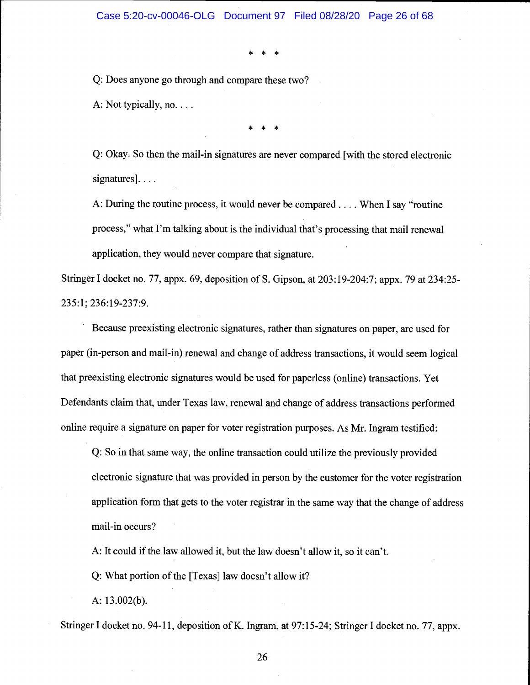\* \* \*

Q: Does anyone go through and compare these two?

A: Not typically, no....

\* \* \*

Q: Okay. So then the mail-in signatures are never compared [with the stored electronic signatures]....

A: During the routine process, it would never be compared. . . . When I say "routine process," what I'm talking about is the individual that's processing that mail renewal application, they would never compare that signature.

Stringer I docket no. 77, appx. 69, deposition of S. Gipson, at 203:19-204:7; appx. 79 at 234:25- 235:1; 236:19-237:9.

Because preexisting electronic signatures, rather than signatures on paper, are used for paper (in-person and mail-in) renewal and change of address transactions, it would seem logical that preexisting electronic signatures would be used for paperless (online) transactions. Yet Defendants claim that, under Texas law, renewal and change of address transactions performed online require a signature on paper for voter registration purposes. As Mr. Ingram testified:

Q: So in that same way, the online transaction could utilize the previously provided electronic signature that was provided in person by the customer for the voter registration application form that gets to the voter registrar in the same way that the change of address mail-in occurs?

A: It could if the law allowed it, but the law doesn't allow it, so it can't.

Q: What portion of the [Texas] law doesn't allow it?

A: 13.002(b).

Stringer I docket no. 94-11, deposition of K. Ingram, at 97:15-24; Stringer I docket no. 77, appx.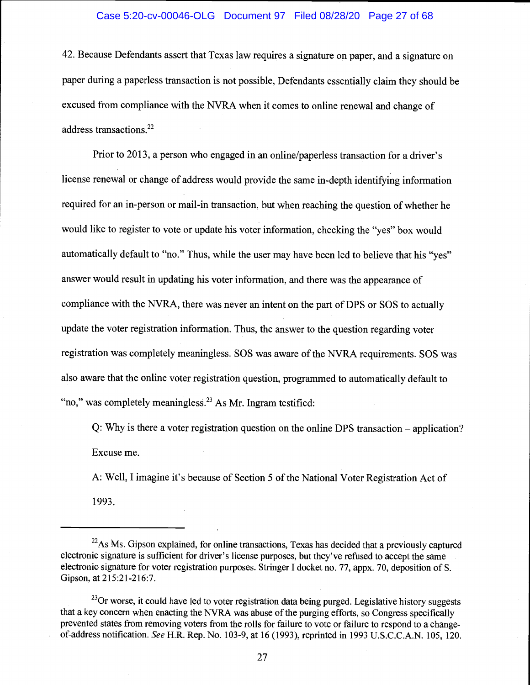#### Case 5:20-cv-00046-OLG Document 97 Filed 08/28/20 Page 27 of 68

42. Because Defendants assert that Texas law requires a signature on paper, and a signature on paper during a paperless transaction is not possible, Defendants essentially claim they should be excused from compliance with the NVRA when it comes to online renewal and change of address transactions.<sup>22</sup>

Prior to 2013, a person who engaged in an online/paperless transaction for a driver's license renewal or change of address would provide the same in-depth identifying information required for an in-person or mail-in transaction, but when reaching the question of whether he would like to register to vote or update his voter information, checking the "yes" box would automatically default to "no." Thus, while the user may have been led to believe that his "yes" answer would result in updating his voter information, and there was the appearance of compliance with the NVRA, there was never an intent on the part of DPS or SOS to actually update the voter registration information. Thus, the answer to the question regarding voter registration was completely meaningless. SOS was aware of the NVRA requirements. SOS was also aware that the online voter registration question, programmed to automatically default to "no," was completely meaningless. $^{23}$  As Mr. Ingram testified:

Q: Why is there a voter registration question on the online DPS transaction – application? Excuse me.

A: Well, I imagine it's because of Section 5 of the National Voter Registration Act of 1993.

 $22$ As Ms. Gipson explained, for online transactions, Texas has decided that a previously captured electronic signature is sufficient for driver's license purposes, but they've refused to accept the same electronic signature for voter registration purposes. Stringer I docket no. 77, appx. 70, deposition of S. Gipson, at 215:21-216:7.

<sup>&</sup>lt;sup>23</sup>Or worse, it could have led to voter registration data being purged. Legislative history suggests that a key concern when enacting the NVRA was abuse of the purging efforts, so Congress specifically prevented states from removing voters from the rolls for failure to vote or failure to respond to a changeof-address notification. See H.R. Rep. No. 103-9, at 16 (1993), reprinted in 1993 U.S.C.C.A.N. 105, 120.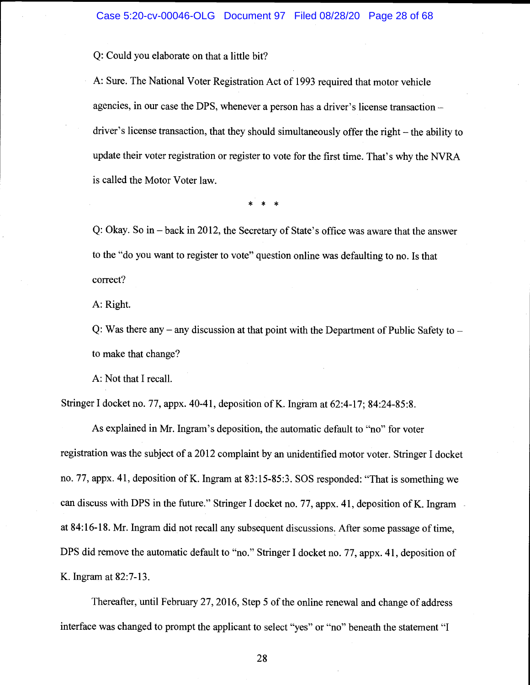Q: Could you elaborate on that a little bit?

A: Sure. The National Voter Registration Act of 1993 required that motor vehicle agencies, in our case the DPS, whenever a person has a driver's license transaction driver's license transaction, that they should simultaneously offer the right  $-$  the ability to update their voter registration or register to vote for the first time. That's why the NVRA is called the Motor Voter law.

\* \* \*

Q: Okay. So in – back in 2012, the Secretary of State's office was aware that the answer to the "do you want to register to vote" question online was defaulting to no. Is that correct?

A: Right.

Q: Was there any  $-$  any discussion at that point with the Department of Public Safety to  $$ to make that change?

A: Not that I recall.

Stringer I docket no. 77, appx. 40-4 1, deposition of K. Ingram at 62:4-17; 84:24-85:8.

As explained in Mr. Ingram's deposition, the automatic default to "no" for voter registration was the subject of a 2012 complaint by an unidentified motor voter. Stringer I docket no. 77, appx. 41, deposition of K. Ingram at 83:15-85:3. SOS responded: "That is something we can discuss with DPS in the future." Stringer I docket no. 77, appx. 41, deposition of K. Ingram at 84:16-18. Mr. Ingram did not recall any subsequent discussions. After some passage of time, DPS did remove the automatic default to "no." Stringer I docket no. 77, appx. 41, deposition of K. Ingram at 82:7-13.

Thereafter, until February 27, 2016, Step 5 of the online renewal and change of address interface was changed to prompt the applicant to select "yes" or "no" beneath the statement "I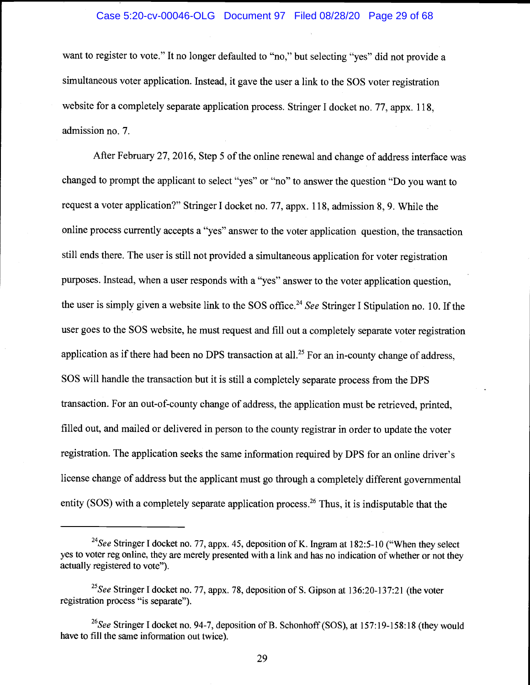### Case 5:20-cv-00046-OLG Document 97 Filed 08/28/20 Page 29 of 68

want to register to vote." It no longer defaulted to "no," but selecting "yes" did not provide a simultaneous voter application. Instead, it gave the user a link to the SOS voter registration website for a completely separate application process. Stringer I docket no. 77, appx. 118, admission no. 7.

After February 27, 2016, Step 5 of the online renewal and change of address interface was changed to prompt the applicant to select "yes" or "no" to answer the question "Do you want to request a voter application?" Stringer I docket no. 77, appx. 118, admission 8, 9. While the online process currently accepts a "yes" answer to the voter application question, the transaction still ends there. The user is still not provided a simultaneous application for voter registration purposes. Instead, when a user responds with a "yes" answer to the voter application question, the user is simply given a website link to the SOS office.<sup>24</sup> See Stringer I Stipulation no. 10. If the user goes to the SOS website, he must request and fill out a completely separate voter registration application as if there had been no DPS transaction at all.<sup>25</sup> For an in-county change of address, SOS will handle the transaction but it is still a completely separate process from the DPS transaction. For an out-of-county change of address, the application must be retrieved, printed, filled out, and mailed or delivered in person to the county registrar in order to update the voter registration. The application seeks the same information required by DPS for an online driver's license change of address but the applicant must go through a completely different governmental entity (SOS) with a completely separate application process.<sup>26</sup> Thus, it is indisputable that the

<sup>&</sup>lt;sup>24</sup>See Stringer I docket no. 77, appx. 45, deposition of K. Ingram at 182:5-10 ("When they select yes to voter reg online, they are merely presented with a link and has no indication of whether or not they actually registered to vote").

<sup>&</sup>lt;sup>25</sup>See Stringer I docket no. 77, appx. 78, deposition of S. Gipson at  $136:20-137:21$  (the voter registration process "is separate").

<sup>&</sup>lt;sup>26</sup>See Stringer I docket no. 94-7, deposition of B. Schonhoff (SOS), at 157:19-158:18 (they would have to fill the same information out twice).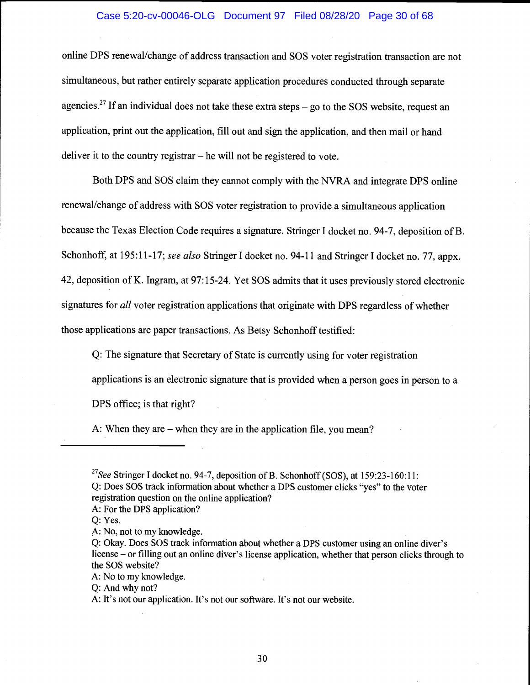### Case 5:20-cv-00046-OLG Document 97 Filed 08/28/20 Page 30 of 68

online DPS renewal/change of address transaction and SOS voter registration transaction are not simultaneous, but rather entirely separate application procedures conducted through separate agencies.<sup>27</sup> If an individual does not take these extra steps  $-$  go to the SOS website, request an application, print out the application, fill out and sign the application, and then mail or hand deliver it to the country registrar  $-$  he will not be registered to vote.

Both DPS and SOS claim they cannot comply with the NVRA and integrate DPS online renewal/change of address with SOS voter registration to provide a simultaneous application because the Texas Election Code requires a signature. Stringer I docket no. 94-7, deposition of B. Schonhoff, at 195:11-17; see also Stringer I docket no. 94-11 and Stringer I docket no. 77, appx. 42, deposition of K. Ingram, at 97:15-24. Yet SOS admits that it uses previously stored electronic signatures for all voter registration applications that originate with DPS regardless of whether those applications are paper transactions. As Betsy Schonhoff testified:

Q: The signature that Secretary of State is currently using for voter registration applications is an electronic signature that is provided when a person goes in person to a DPS office; is that right?

A: When they are  $-$  when they are in the application file, you mean?

- 
- Q: Yes.

<sup>&</sup>lt;sup>27</sup>See Stringer I docket no. 94-7, deposition of B. Schonhoff (SOS), at 159:23-160:11: Q: Does SOS track information about whether a DPS customer clicks "yes" to the voter registration question on the online application? A: For the DPS application?

A: No, not to my knowledge.

Q: Okay. Does SOS track information about whether a DPS customer using an online diver's license – or filling out an online diver's license application, whether that person clicks through to the SOS website?

A: No to my knowledge.

Q: And why not?

A: It's not our application. It's not our software. It's not our website.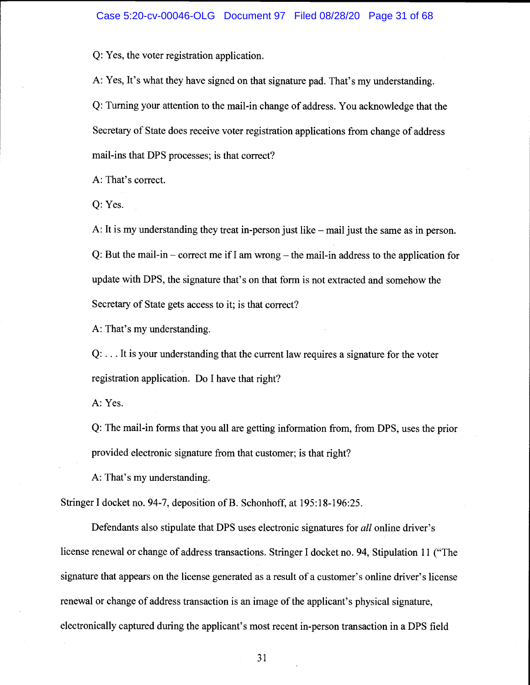Q: Yes, the voter registration application.

A: Yes, It's what they have signed on that signature pad. That's my understanding. Q: Turning your attention to the mail-in change of address. You acknowledge that the Secretary of State does receive voter registration applications from change of address mail-ins that DPS processes; is that correct?

A: That's correct.

Q: Yes.

A: It is my understanding they treat in-person just like  $-$  mail just the same as in person. Q: But the mail-in – correct me if I am wrong – the mail-in address to the application for update with DPS, the signature that's on that form is not extracted and somehow the Secretary of State gets access to it; is that correct?

A: That's my understanding.

Q: . . . It is your understanding that the current law requires a signature for the voter registration application. Do I have that right?

A: Yes.

Q: The mail-in forms that you all are getting information from, from DPS, uses the prior provided electronic signature from that customer; is that right?

A: That's my understanding.

Stringer I docket no. 94-7, deposition of B. Schonhoff, at 195:18-196:25.

Defendants also stipulate that DPS uses electronic signatures for all online driver's license renewal or change of address transactions. Stringer I docket no. 94, Stipulation 11 ("The signature that appears on the license generated as a result of a customer's online driver's license renewal or change of address transaction is an image of the applicant's physical signature, electronically captured during the applicant's most recent in-person transaction in a DPS field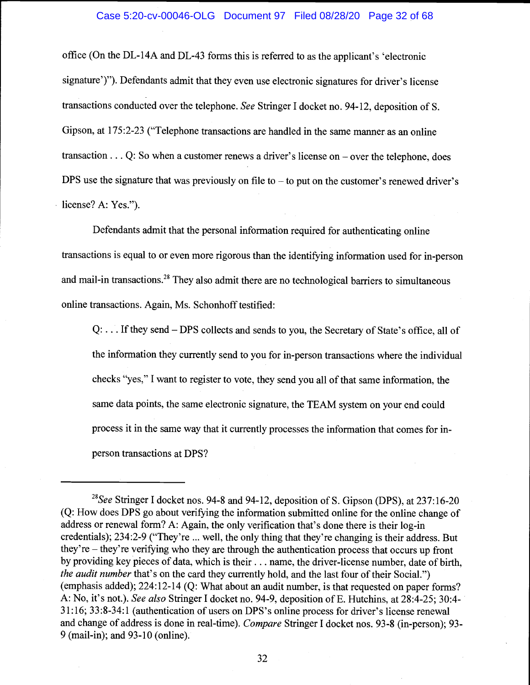## Case 5:20-cv-00046-OLG Document 97 Filed 08/28/20 Page 32 of 68

office (On the DL-14A and DL-43 forms this is referred to as the applicant's 'electronic signature')"). Defendants admit that they even use electronic signatures for driver's license transactions conducted over the telephone. See Stringer I docket no. 94-12, deposition of S. Gipson, at 175:2-23 ("Telephone transactions are handled in the same manner as an online transaction... Q: So when a customer renews a driver's license on – over the telephone, does DPS use the signature that was previously on file to  $-$  to put on the customer's renewed driver's license? A: Yes.").

Defendants admit that the personal information required for authenticating online transactions is equal to or even more rigorous than the identifying information used for in-person and mail-in transactions.<sup>28</sup> They also admit there are no technological barriers to simultaneous online transactions. Again, Ms. Schonhoff testified:

 $Q: \ldots$  If they send – DPS collects and sends to you, the Secretary of State's office, all of the information they currently send to you for in-person transactions where the individual checks "yes," I want to register to vote, they send you all of that same information, the same data points, the same electronic signature, the TEAM system on your end could process it in the same way that it currently processes the information that comes for inperson transactions at DPS?

<sup>&</sup>lt;sup>28</sup>See Stringer I docket nos. 94-8 and 94-12, deposition of S. Gipson (DPS), at 237:16-20 (Q: How does DPS go about verifying the information submitted online for the online change of address or renewal form? A: Again, the only verification that's done there is their log-in credentials); 234:2-9 ("They're ... well, the only thing that they're changing is their address. But they're – they're verifying who they are through the authentication process that occurs up front by providing key pieces of data, which is their.. . name, the driver-license number, date of birth, the audit number that's on the card they currently hold, and the last four of their Social.") (emphasis added); 224:12-14 (Q: What about an audit number, is that requested on paper forms? A: No, it's not.). See also Stringer I docket no. 94-9, deposition of E. Hutchins, at 28:4-25; 30:4- 31:16; 33:8-34:1 (authentication of users on DPS's online process for driver's license renewal and change of address is done in real-time). Compare Stringer I docket nos. 93-8 (in-person); 93- 9 (mail-in); and 93-10 (online).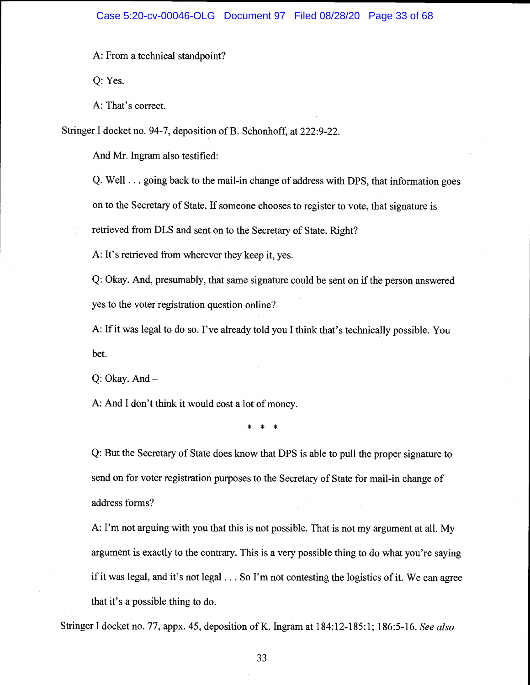A: From a technical standpoint?

Q: Yes.

A: That's correct.

Stringer I docket no. 94-7, deposition of B. Schonhoff, at 222:9-22.

And Mr. Ingram also testified:

Q. Well. . . going back to the mail-in change of address with DPS, that information goes on to the Secretary of State. If someone chooses to register to vote, that signature is retrieved from DLS and sent on to the Secretary of State. Right?

A: It's retrieved from wherever they keep it, yes.

Q: Okay. And, presumably, that same signature could be sent on if the person answered yes to the voter registration question online?

A: If it was legal to do so. I've already told you I think that's technically possible. You bet.

Q: Okay. And

A: And I don't think it would cost a lot of money.

\* \* \*

Q: But the Secretary of State does know that DPS is able to pull the proper signature to send on for voter registration purposes to the Secretary of State for mail-in change of address forms?

A: I'm not arguing with you that this is not possible. That is not my argument at all. My argument is exactly to the contrary. This is a very possible thing to do what you're saying if it was legal, and it's not legal.. . So I'm not contesting the logistics of it. We can agree that it's a possible thing to do.

Stringer I docket no. 77, appx. 45, deposition of K. Ingram at 184:12-185:1; 186:5-16. See also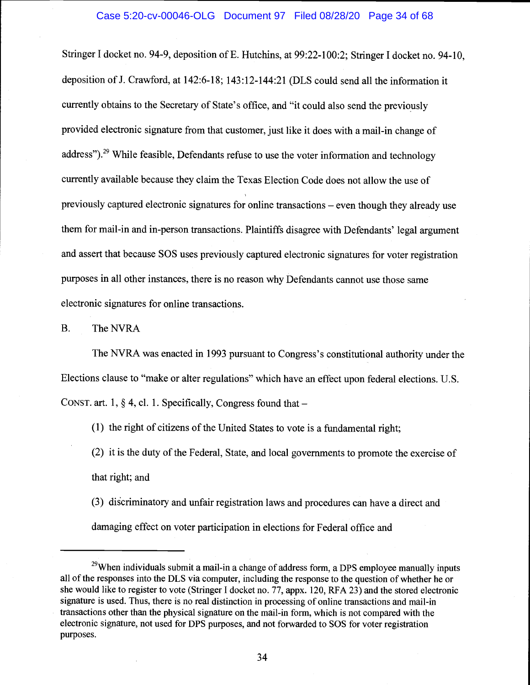Stringer I docket no. 94-9, deposition of E. Hutchins, at 99:22-100:2; Stringer I docket no. 94-10, deposition of J. Crawford, at 142:6-18; 143:12-144:21 (DLS could send all the information it currently obtains to the Secretary of State's office, and "it could also send the previously provided electronic signature from that customer, just like it does with a mail-in change of address").<sup>29</sup> While feasible, Defendants refuse to use the voter information and technology currently available because they claim the Texas Election Code does not allow the use of previously captured electronic signatures for online transactions  $-$  even though they already use them for mail-in and in-person transactions. Plaintiffs disagree with Defendants' legal argument and assert that because SOS uses previously captured electronic signatures for voter registration purposes in all other instances, there is no reason why Defendants cannot use those same electronic signatures for online transactions.

B. The NVRA

The NVRA was enacted in 1993 pursuant to Congress's constitutional authority under the Elections clause to "make or alter regulations" which have an effect upon federal elections. U.S. CONST. art. 1,  $\S$  4, cl. 1. Specifically, Congress found that  $-$ 

(1) the right of citizens of the United States to vote is a fundamental right;

(2) it is the duty of the Federal, State, and local governments to promote the exercise of that right; and

(3) discriminatory and unfair registration laws and procedures can have a direct and damaging effect on voter participation in elections for Federal office and

 $29$ When individuals submit a mail-in a change of address form, a DPS employee manually inputs all of the responses into the DLS via computer, including the response to the question of whether he or she would like to register to vote (Stringer I docket no. 77, appx. 120, RFA 23) and the stored electronic signature is used. Thus, there is no real distinction in processing of online transactions and mail-in transactions other than the physical signature on the mail-in form, which is not compared with the electronic signature, not used for DPS purposes, and not forwarded to SOS for voter registration purposes.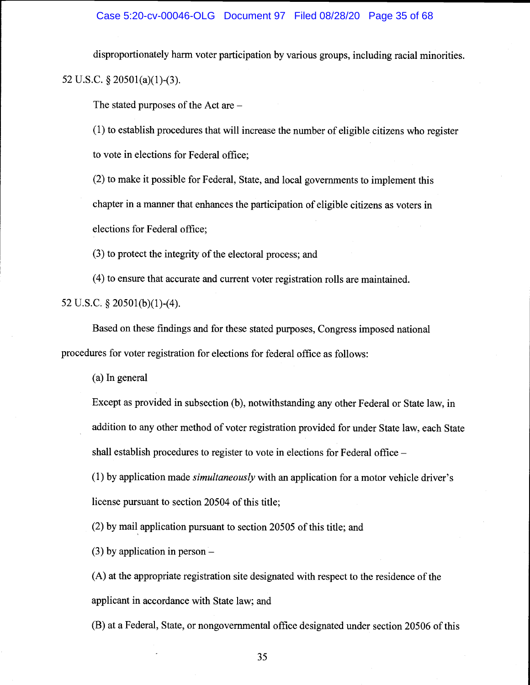# Case 5:20-cv-00046-OLG Document 97 Filed 08/28/20 Page 35 of 68

disproportionately harm voter participation by various groups, including racial minorities.

52 U.S.C. § 20501(a)(1)-(3).

The stated purposes of the Act are

(1) to establish procedures that will increase the number of eligible citizens who register to vote in elections for Federal office;

(2) to make it possible for Federal, State, and local governments to implement this chapter in a manner that enhances the participation of eligible citizens as voters in elections for Federal office;

(3) to protect the integrity of the electoral process; and

(4) to ensure that accurate and current voter registration rolls are maintained.

52 U.S.C.  $\S$  20501(b)(1)-(4).

Based on these findings and for these stated purposes, Congress imposed national procedures for voter registration for elections for federal office as follows:

(a) In general

Except as provided in subsection (b), notwithstanding any other Federal or State law, in addition to any other method of voter registration provided for under State law, each State shall establish procedures to register to vote in elections for Federal office

(1) by application made simultaneously with an application for a motor vehicle driver's license pursuant to section 20504 of this title;

(2) by mail application pursuant to section 20505 of this title; and

(3) by application in person

(A) at the appropriate registration site designated with respect to the residence of the applicant in accordance with State law; and

(B) at a Federal, State, or nongovernmental office designated under section 20506 of this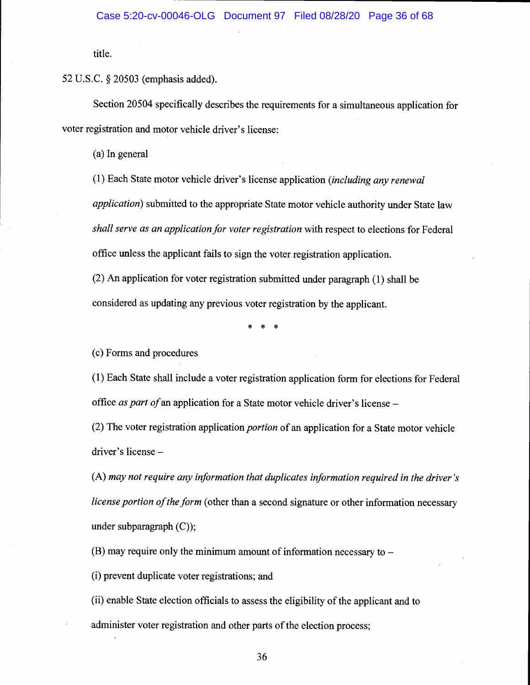title.

52 U.S.C. § 20503 (emphasis added).

Section 20504 specifically describes the requirements for a simultaneous application for voter registration and motor vehicle driver's license:

(a) In general

(1) Each State motor vehicle driver's license application (including any renewal application) submitted to the appropriate State motor vehicle authority under State law shall serve as an application for voter registration with respect to elections for Federal office unless the applicant fails to sign the voter registration application.

(2) An application for voter registration submitted under paragraph (1) shall be considered as updating any previous voter registration by the applicant.

\* \* \*

(c) Forms and procedures

(1) Each State shall include a voter registration application form for elections for Federal office as part of an application for a State motor vehicle driver's license –

(2) The voter registration application portion of an application for a State motor vehicle driver's license

(A) may not require any information that duplicates information required in the driver 's license portion of the form (other than a second signature or other information necessary under subparagraph (C));

 $(B)$  may require only the minimum amount of information necessary to  $-$ 

(i) prevent duplicate voter registrations; and

(ii) enable State election officials to assess the eligibility of the applicant and to

administer voter registration and other parts of the election process;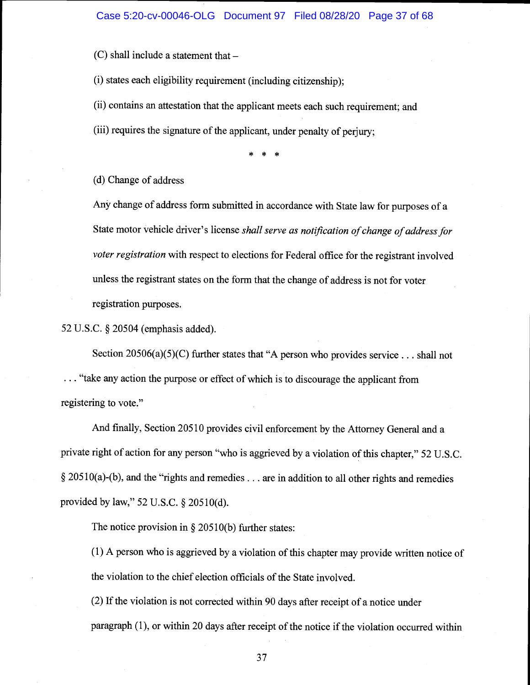$(C)$  shall include a statement that  $-$ 

(i) states each eligibility requirement (including citizenship);

(ii) contains an attestation that the applicant meets each such requirement; and

(iii) requires the signature of the applicant, under penalty of perjury;

\* \* \*

(d) Change of address

Any change of address form submitted in accordance with State law for purposes of a State motor vehicle driver's license shall serve as notification of change of address for voter registration with respect to elections for Federal office for the registrant involved unless the registrant states on the form that the change of address is not for voter registration purposes.

52 U.S.C. § 20504 (emphasis added).

Section 20506(a)(5)(C) further states that "A person who provides service... shall not ... "take any action the purpose or effect of which is to discourage the applicant from registering to vote."

And finally, Section 20510 provides civil enforcement by the Attorney General and a private right of action for any person "who is aggrieved by a violation of this chapter," 52 U.S.C.  $§$  20510(a)-(b), and the "rights and remedies... are in addition to all other rights and remedies provided by law," 52 U.S.C. § 205 10(d).

The notice provision in  $\S 20510(b)$  further states:

(1) A person who is aggrieved by a violation of this chapter may provide written notice of the violation to the chief election officials of the State involved.

(2) If the violation is not corrected within 90 days after receipt of a notice under paragraph (1), or within 20 days after receipt of the notice if the violation occurred within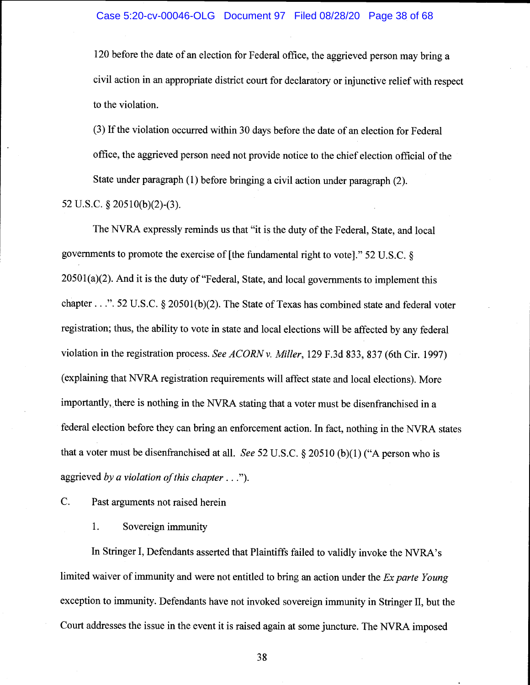120 before the date of an election for Federal office, the aggrieved person may bring a civil action in an appropriate district court for declaratory or injunctive relief with respect to the violation.

(3) If the violation occurred within 30 days before the date of an election for Federal office, the aggrieved person need not provide notice to the chief election official of the State under paragraph (1) before bringing a civil action under paragraph (2).

52 U.S.C. § 205 10(b)(2)-(3).

The NVRA expressly reminds us that "it is the duty of the Federal, State, and local governments to promote the exercise of [the fundamental right to vote]." 52 U.S.C. §  $20501(a)(2)$ . And it is the duty of "Federal, State, and local governments to implement this chapter...". 52 U.S.C. § 20501(b)(2). The State of Texas has combined state and federal voter registration; thus, the ability to vote in state and local elections will be affected by any federal violation in the registration process. See ACORN v. Miller, 129 F.3d 833, 837 (6th Cir. 1997) (explaining that NVRA registration requirements will affect state and local elections). More importantly, there is nothing in the NYRA stating that a voter must be disenfranchised in a federal election before they can bring an enforcement action. In fact, nothing in the NVRA states that a voter must be disenfranchised at all. See 52 U.S.C. § 20510 (b)(1) ("A person who is aggrieved by a violation of this chapter  $\dots$ ").

C. Past arguments not raised herein

1. Sovereign immunity

In Stringer I, Defendants asserted that Plaintiffs failed to validly invoke the NVRA's limited waiver of immunity and were not entitled to bring an action under the  $Ex$  parte Young exception to immunity. Defendants have not invoked sovereign immunity in Stringer II, but the Court addresses the issue in the event it is raised again at some juncture. The NVRA imposed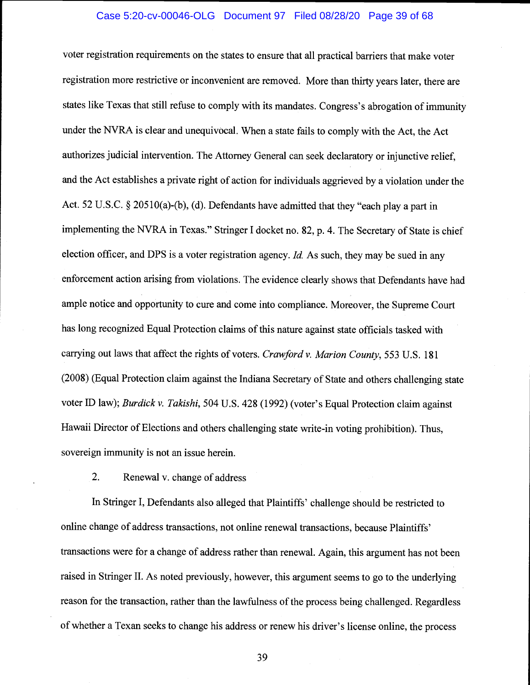# Case 5:20-cv-00046-OLG Document 97 Filed 08/28/20 Page 39 of 68

voter registration requirements on the states to ensure that all practical barriers that make voter registration more restrictive or inconvenient are removed. More than thirty years later, there are states like Texas that still refuse to comply with its mandates. Congress's abrogation of immunity under the NVRA is clear and unequivocal. When a state fails to comply with the Act, the Act authorizes judicial intervention. The Attorney General can seek declaratory or injunctive relief, and the Act establishes a private right of action for individuals aggrieved by a violation under the Act. 52 U.S.C. § 205 10(a)-(b), (d). Defendants have admitted that they "each play a part in implementing the NVRA in Texas." Stringer I docket no. 82, p. 4. The Secretary of State is chief election officer, and DPS is a voter registration agency. *Id.* As such, they may be sued in any enforcement action arising from violations. The evidence clearly shows that Defendants have had ample notice and opportunity to cure and come into compliance. Moreover, the Supreme Court has long recognized Equal Protection claims of this nature against state officials tasked with carrying out laws that affect the rights of voters. Crawford v. Marion County, 553 U.S. 181 (2008) (Equal Protection claim against the Indiana Secretary of State and others challenging state voter ID law); Burdick v. Takishi, 504 U.S. 428 (1992) (voter's Equal Protection claim against Hawaii Director of Elections and others challenging state write-in voting prohibition). Thus, sovereign immunity is not an issue herein.

2. Renewal v. change of address

In Stringer I, Defendants also alleged that Plaintiffs' challenge should be restricted to online change of address transactions, not online renewal transactions, because Plaintiffs' transactions were for a change of address rather than renewal. Again, this argument has not been raised in Stringer II. As noted previously, however, this argument seems to go to the underlying reason for the transaction, rather than the lawfulness of the process being challenged. Regardless of whether a Texan seeks to change his address or renew his driver's license online, the process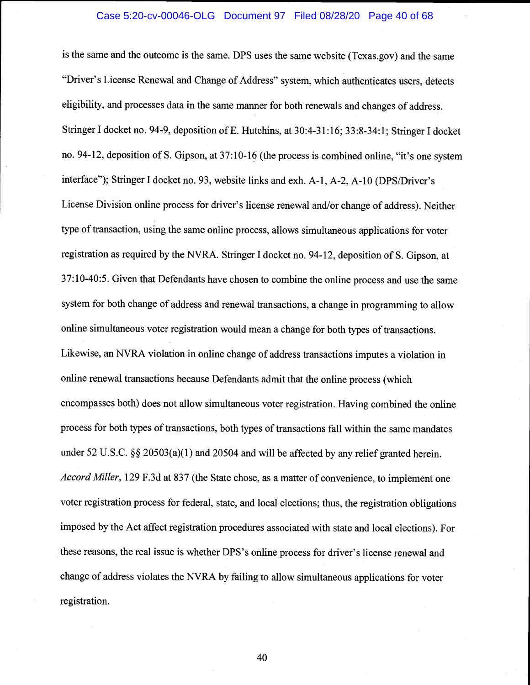#### Case 5:20-cv-00046-OLG Document 97 Filed 08/28/20 Page 40 of 68

is the same and the outcome is the same. DPS uses the same website (Texas.gov) and the same "Driver's License Renewal and Change of Address" system, which authenticates users, detects eligibility, and processes data in the same manner for both renewals and changes of address. Stringer I docket no. 94-9, deposition of E. Hutchins, at 30:4-31:16; 33:8-34:1; Stringer I docket no. 94-12, deposition of S. Gipson, at 37:10-16 (the process is combined online, "it's one system interface"); Stringer I docket no. 93, website links and exh. A-1, A-2, A-10 (DPS/Driver's License Division online process for driver's license renewal and/or change of address). Neither type of transaction, using the same online process, allows simultaneous applications for voter registration as required by the NVRA. Stringer I docket no. 94-12, deposition of S. Gipson, at 37:10-40:5. Given that Defendants have chosen to combine the online process and use the same system for both change of address and renewal transactions, a change in programming to allow online simultaneous voter registration would mean a change for both types of transactions. Likewise, an NVRA violation in online change of address transactions imputes a violation in online renewal transactions because Defendants admit that the online process (which encompasses both) does not allow simultaneous voter registration. Having combined the online process for both types of transactions, both types of transactions fall within the same mandates under 52 U.S.C. §§ 20503(a)(1) and 20504 and will be affected by any relief granted herein. Accord Miller, 129 F.3d at 837 (the State chose, as a matter of convenience, to implement one voter registration process for federal, state, and local elections; thus, the registration obligations imposed by the Act affect registration procedures associated with state and local elections). For these reasons, the real issue is whether DPS's online process for driver's license renewal and change of address violates the NYRA by failing to allow simultaneous applications for voter registration.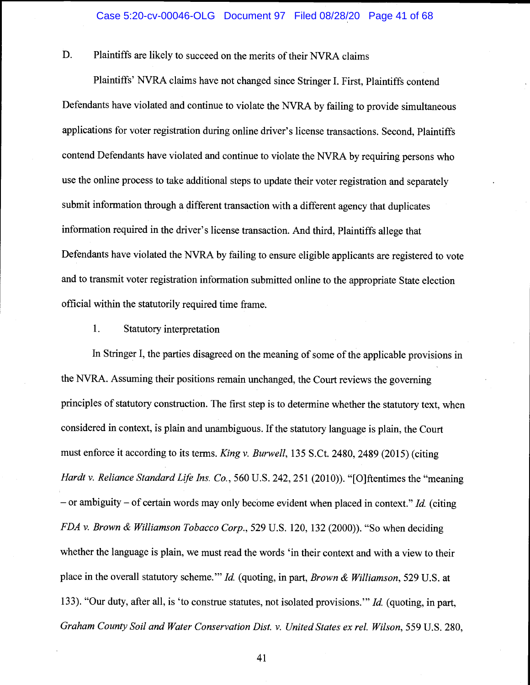D. Plaintiffs are likely to succeed on the merits of their NYRA claims

Plaintiffs' NVRA claims have not changed since Stringer I. First, Plaintiffs contend Defendants have violated and continue to violate the NVRA by failing to provide simultaneous applications for voter registration during online driver's license transactions. Second, Plaintiffs contend Defendants have violated and continue to violate the NVRA by requiring persons who use the online process to take additional steps to update their voter registration and separately submit information through a different transaction with a different agency that duplicates information required in the driver's license transaction. And third, Plaintiffs allege that Defendants have violated the NVRA by failing to ensure eligible applicants are registered to vote and to transmit voter registration information submitted online to the appropriate State election official within the statutorily required time frame.

# 1. Statutory interpretation

In Stringer I, the parties disagreed on the meaning of some of the applicable provisions in the NVRA. Assuming their positions remain unchanged, the Court reviews the governing principles of statutory construction. The first step is to determine whether the statutory text, when considered in context, is plain and unambiguous. If the statutory language is plain, the Court must enforce it according to its terms. King v. Burwell, 135 S.Ct. 2480, 2489 (2015) (citing Hardt v. Reliance Standard Life Ins. Co., 560 U.S. 242, 251 (2010)). "[O]ftentimes the "meaning  $-$  or ambiguity  $-$  of certain words may only become evident when placed in context." Id. (citing FDA v. Brown & Williamson Tobacco Corp., 529 U.S. 120, 132 (2000)). "So when deciding whether the language is plain, we must read the words 'in their context and with a view to their place in the overall statutory scheme." Id. (quoting, in part, Brown & Williamson, 529 U.S. at 133). "Our duty, after all, is 'to construe statutes, not isolated provisions." Id. (quoting, in part, Graham County Soil and Water Conservation Dist. v. United States ex rel. Wilson, 559 U.S. 280,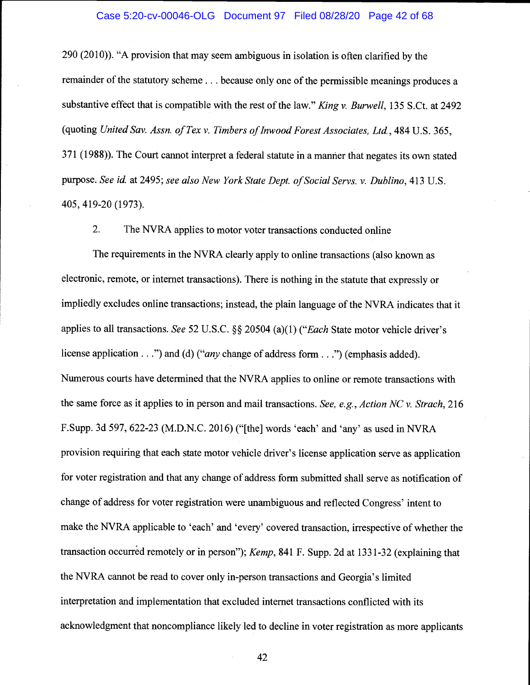### Case 5:20-cv-00046-OLG Document 97 Filed 08/28/20 Page 42 of 68

290 (2010)). "A provision that may seem ambiguous in isolation is often clarified by the remainder of the statutory scheme.. . because only one of the permissible meanings produces a substantive effect that is compatible with the rest of the law." King v. Burwell, 135 S.Ct. at 2492 (quoting United Say. Assn. of Tex v. Timbers of Inwood Forest Associates, Ltd., 484 U.S. 365, 371(1988)). The Court cannot interpret a federal statute in a manner that negates its own stated purpose. See id. at 2495; see also New York State Dept. of Social Servs. v. Dublino, 413 U.S. 405, 419-20 (1973).

2. The NVRA applies to motor voter transactions conducted online

The requirements in the NVRA clearly apply to online transactions (also known as electronic, remote, or internet transactions). There is nothing in the statute that expressly or impliedly excludes online transactions; instead, the plain language of the NVRA indicates that it applies to all transactions. See 52 U.S.C. §§ 20504 (a)(1) ("Each State motor vehicle driver's license application . . .") and (d) ("*any* change of address form . . .") (emphasis added). Numerous courts have determined that the NVRA applies to online or remote transactions with the same force as it applies to in person and mail transactions. See, e.g., Action NC v. Strach, 216 F.Supp. 3d 597, 622-23 (M.D.N.C. 2016) ("[the] words 'each' and 'any' as used in NVRA provision requiring that each state motor vehicle driver's license application serve as application for voter registration and that any change of address form submitted shall serve as notification of change of address for voter registration were unambiguous and reflected Congress' intent to make the NVRA applicable to 'each' and 'every' covered transaction, irrespective of whether the transaction occurred remotely or in person"); Kemp, 841 F. Supp. 2d at 133 1-32 (explaining that the NVRA cannot be read to cover only in-person transactions and Georgia's limited interpretation and implementation that excluded internet transactions conflicted with its acknowledgment that noncompliance likely led to decline in voter registration as more applicants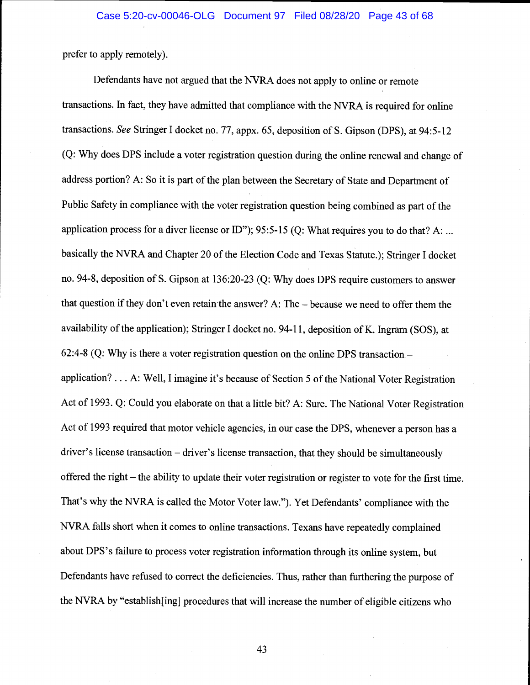prefer to apply remotely).

Defendants have not argued that the NVRA does not apply to online or remote transactions. In fact, they have admitted that compliance with the NVRA is required for online transactions. See Stringer I docket no. 77, appx. 65, deposition of S. Gipson (DPS), at 94:5-12 (Q: Why does DPS include a voter registration question during the online renewal and change of address portion? A: So it is part of the plan between the Secretary of State and Department of Public Safety in compliance with the voter registration question being combined as part of the application process for a diver license or ID"); 95:5-15 (Q: What requires you to do that? A: ... basically the NVRA and Chapter 20 of the Election Code and Texas Statute.); Stringer I docket no. 94-8, deposition of S. Gipson at 136:20-23 (Q: Why does DPS require customers to answer that question if they don't even retain the answer? A: The  $-$  because we need to offer them the availability of the application); Stringer I docket no. 94-11, deposition of K. Ingram (SOS), at 62:4-8 (Q: Why is there a voter registration question on the online DPS transaction application?.. . A: Well, I imagine it's because of Section 5 of the National Voter Registration Act of 1993. Q: Could you elaborate on that a little bit? A: Sure. The National Voter Registration Act of 1993 required that motor vehicle agencies, in our case the DPS, whenever a person has a driver's license transaction  $-$  driver's license transaction, that they should be simultaneously offered the right – the ability to update their voter registration or register to vote for the first time. That's why the NVRA is called the Motor Voter law."). Yet Defendants' compliance with the NVRA falls short when it comes to online transactions. Texans have repeatedly complained about DPS's failure to process voter registration information through its online system, but Defendants have refused to correct the deficiencies. Thus, rather than furthering the purpose of the NVRA by "establish[ing] procedures that will increase the number of eligible citizens who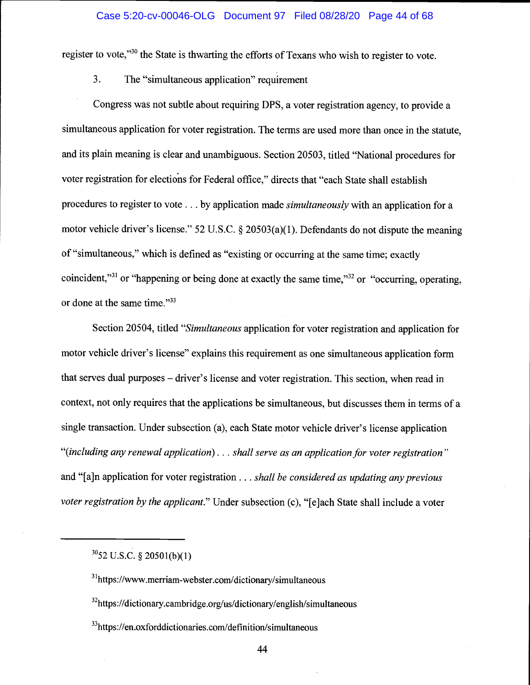#### Case 5:20-cv-00046-OLG Document 97 Filed 08/28/20 Page 44 of 68

register to vote,"<sup>30</sup> the State is thwarting the efforts of Texans who wish to register to vote.

3. The "simultaneous application" requirement

Congress was not subtle about requiring DPS, a voter registration agency, to provide a simultaneous application for voter registration. The terms are used more than once in the statute, and its plain meaning is clear and unambiguous. Section 20503, titled "National procedures for voter registration for elections for Federal office," directs that "each State shall establish procedures to register to vote . . . by application made *simultaneously* with an application for a motor vehicle driver's license." 52 U.S.C. § 20503(a)(1). Defendants do not dispute the meaning of "simultaneous," which is defined as "existing or occurring at the same time; exactly coincident,"<sup>31</sup> or "happening or being done at exactly the same time,"<sup>32</sup> or "occurring, operating, or done at the same time."33

Section 20504, titled "Simultaneous application for voter registration and application for motor vehicle driver's license" explains this requirement as one simultaneous application form that serves dual purposes – driver's license and voter registration. This section, when read in context, not only requires that the applications be simultaneous, but discusses them in terms of a single transaction. Under subsection (a), each State motor vehicle driver's license application "(including any renewal application). . . shall serve as an application for voter registration" and "[a]n application for voter registration  $\dots$  shall be considered as updating any previous voter registration by the applicant." Under subsection (c), "[e]ach State shall include a voter

 $3052$  U.S.C. § 20501(b)(1)

<sup>&</sup>lt;sup>31</sup>https://www.merriam-webster.com/dictionary/simultaneous

<sup>&</sup>lt;sup>32</sup>https://dictionary.cambridge.org/us/dictionary/english/simultaneous

<sup>33</sup>https://en.oxforddictionaries.com/definition/simultaneous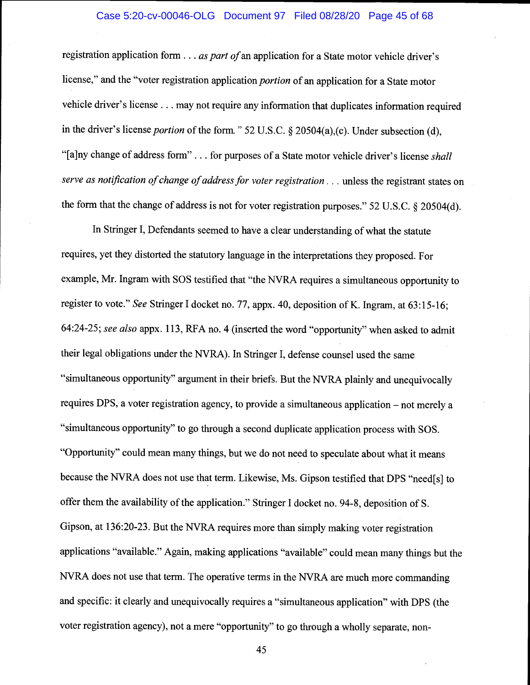#### Case 5:20-cv-00046-OLG Document 97 Filed 08/28/20 Page 45 of 68

registration application form  $\ldots$  as part of an application for a State motor vehicle driver's license," and the "voter registration application *portion* of an application for a State motor vehicle driver's license. . . may not require any information that duplicates information required in the driver's license portion of the form." 52 U.S.C. § 20504(a),(c). Under subsection (d), "[a]ny change of address form"... for purposes of a State motor vehicle driver's license shall serve as notification of change of address for voter registration... unless the registrant states on the form that the change of address is not for voter registration purposes." 52 U.S.C. § 20504(d).

In Stringer I, Defendants seemed to have a clear understanding of what the statute requires, yet they distorted the statutory language in the interpretations they proposed. For example, Mr. Ingram with SOS testified that "the NVRA requires a simultaneous opportunity to register to vote." See Stringer I docket no. 77, appx. 40, deposition of K. Ingram, at 63:15-16; 64:24-25; see also appx. 113, RFA no. 4 (inserted the word "opportunity" when asked to admit their legal obligations under the NVRA). In Stringer I, defense counsel used the same "simultaneous opportunity" argument in their briefs. But the NVRA plainly and unequivocally requires DPS, a voter registration agency, to provide a simultaneous application  $-$  not merely a "simultaneous opportunity" to go through a second duplicate application process with SOS. "Opportunity" could mean many things, but we do not need to speculate about what it means because the NVRA does not use that term. Likewise, Ms. Gipson testified that DPS "need[s] to offer them the availability of the application." Stringer I docket no. 94-8, deposition of S. Gipson, at 136:20-23. But the NYRA requires more than simply making voter registration applications "available." Again, making applications "available" could mean many things but the NVRA does not use that term. The operative terms in the NYRA are much more commanding and specific: it clearly and unequivocally requires a "simultaneous application" with DPS (the voter registration agency), not a mere "opportunity" to go through a wholly separate, non-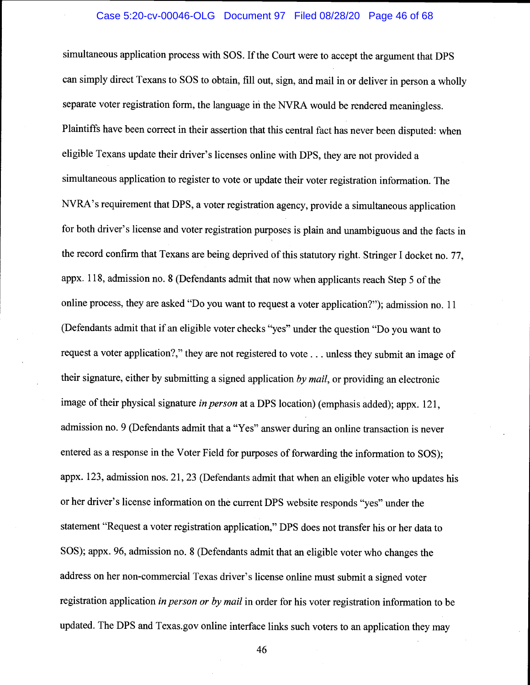#### Case 5:20-cv-00046-OLG Document 97 Filed 08/28/20 Page 46 of 68

simultaneous application process with SOS. If the Court were to accept the argument that DPS can simply direct Texans to SOS to obtain, fill out, sign, and mail in or deliver in person a wholly separate voter registration form, the language in the NVRA would be rendered meaningless. Plaintiffs have been correct in their assertion that this central fact has never been disputed: when eligible Texans update their driver's licenses online with DPS, they are not provided a simultaneous application to register to vote or update their voter registration information. The NVRA's requirement that DPS, a voter registration agency, provide a simultaneous application for both driver's license and voter registration purposes is plain and unambiguous and the facts in the record confirm that Texans are being deprived of this statutory right. Stringer I docket no. 77, appx. 118, admission no. 8 (Defendants admit that now when applicants reach Step 5 of the online process, they are asked "Do you want to request a voter application?"); admission no. <sup>11</sup> (Defendants admit that if an eligible voter checks "yes" under the question "Do you want to request a voter application?," they are not registered to vote.. . unless they submit an image of their signature, either by submitting a signed application by mail, or providing an electronic image of their physical signature in person at a DPS location) (emphasis added); appx. 121, admission no. 9 (Defendants admit that a "Yes" answer during an online transaction is never entered as a response in the Voter Field for purposes of forwarding the information to SOS); appx. 123, admission nos. 21, 23 (Defendants admit that when an eligible voter who updates his or her driver's license information on the current DPS website responds "yes" under the statement "Request a voter registration application," DPS does not transfer his or her data to SOS); appx. 96, admission no. 8 (Defendants admit that an eligible voter who changes the address on her non-commercial Texas driver's license online must submit a signed voter registration application in person or by mail in order for his voter registration information to be updated. The DPS and Texas.gov online interface links such voters to an application they may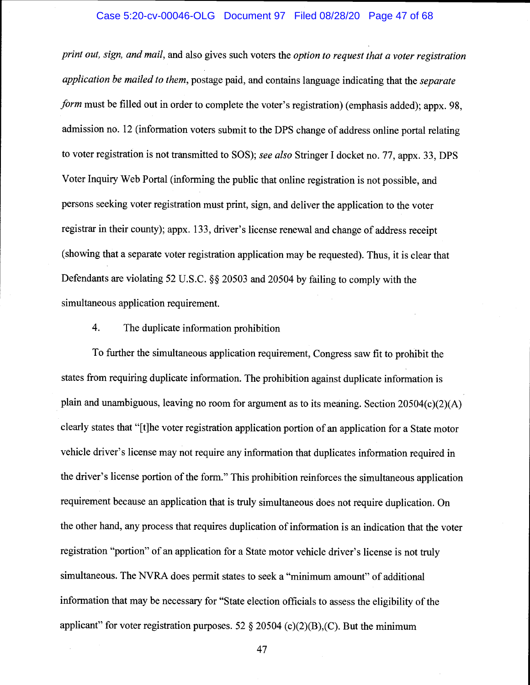#### Case 5:20-cv-00046-OLG Document 97 Filed 08/28/20 Page 47 of 68

print out, sign, and mail, and also gives such voters the option to request that a voter registration application be mailed to them, postage paid, and contains language indicating that the separate form must be filled out in order to complete the voter's registration) (emphasis added); appx. 98, admission no. 12 (information voters submit to the DPS change of address online portal relating to voter registration is not transmitted to SOS); see also Stringer I docket no. 77, appx. 33, DPS Voter Inquiry Web Portal (informing the public that online registration is not possible, and persons seeking voter registration must print, sign, and deliver the application to the voter registrar in their county); appx. 133, driver's license renewal and change of address receipt (showing that a separate voter registration application may be requested). Thus, it is clear that Defendants are violating 52 U.S.C. § 20503 and 20504 by failing to comply with the simultaneous application requirement.

# 4. The duplicate information prohibition

To further the simultaneous application requirement, Congress saw fit to prohibit the states from requiring duplicate information. The prohibition against duplicate information is plain and unambiguous, leaving no room for argument as to its meaning. Section 20504(c)(2)(A) clearly states that "{tjhe voter registration application portion of an application for a State motor vehicle driver's license may not require any information that duplicates information required in the driver's license portion of the form." This prohibition reinforces the simultaneous application requirement because an application that is truly simultaneous does not require duplication. On the other hand, any process that requires duplication of information is an indication that the voter registration "portion" of an application for a State motor vehicle driver's license is not truly simultaneous. The NVRA does permit states to seek a "minimum amount" of additional information that may be necessary for "State election officials to assess the eligibility of the applicant" for voter registration purposes. 52  $\S$  20504 (c)(2)(B),(C). But the minimum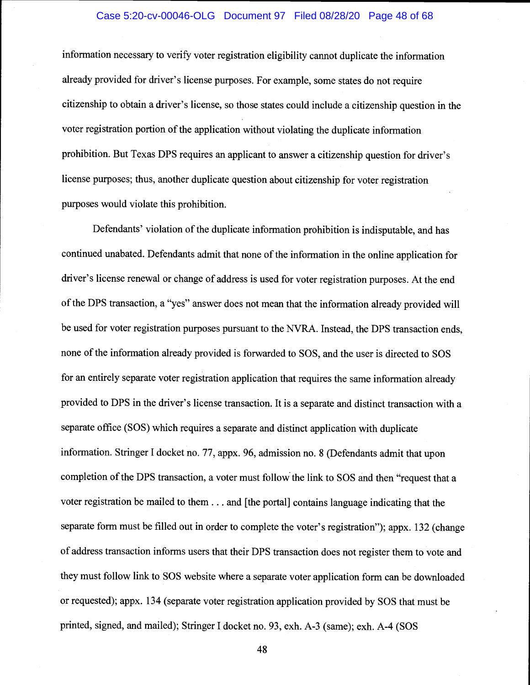#### Case 5:20-cv-00046-OLG Document 97 Filed 08/28/20 Page 48 of 68

information necessary to verify voter registration eligibility cannot duplicate the information already provided for driver's license purposes. For example, some states do not require citizenship to obtain a driver's license, so those states could include a citizenship question in the voter registration portion of the application without violating the duplicate information prohibition. But Texas DPS requires an applicant to answer a citizenship question for driver's license purposes; thus, another duplicate question about citizenship for voter registration purposes would violate this prohibition.

Defendants' violation of the duplicate information prohibition is indisputable, and has continued unabated. Defendants admit that none of the information in the online application for driver's license renewal or change of address is used for voter registration purposes. At the end of the DPS transaction, a "yes" answer does not mean that the information already provided will be used for voter registration purposes pursuant to the NVRA. Instead, the DPS transaction ends, none of the information already provided is forwarded to SOS, and the user is directed to SOS for an entirely separate voter registration application that requires the same information already provided to DPS in the driver's license transaction. It is a separate and distinct transaction with a separate office (SOS) which requires a separate and distinct application with duplicate information. Stringer I docket no. 77, appx. 96, admission no. 8 (Defendants admit that upon completion of the DPS transaction, a voter must follow the link to SOS and then "request that a voter registration be mailed to them. . . and [the portal] contains language indicating that the separate form must be filled out in order to complete the voter's registration"); appx. 132 (change of address transaction informs users that their DPS transaction does not register them to vote and they must follow link to SOS website where a separate voter application form can be downloaded or requested); appx. 134 (separate voter registration application provided by SOS that must be printed, signed, and mailed); Stringer I docket no. 93, exh. A-3 (same); exh. A-4 (SOS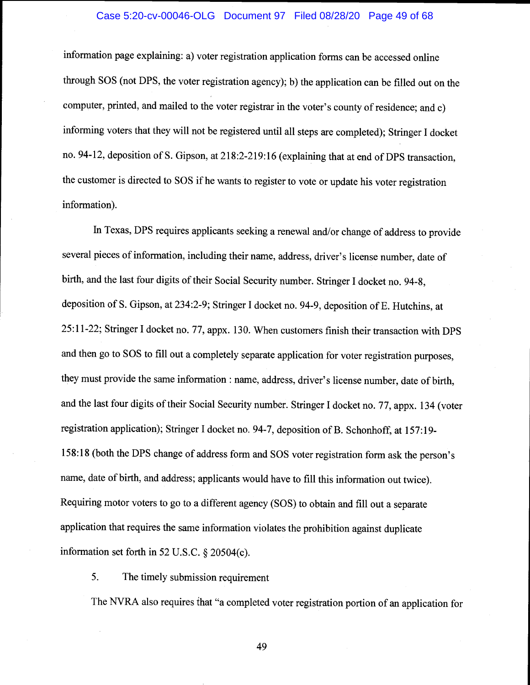# Case 5:20-cv-00046-OLG Document 97 Filed 08/28/20 Page 49 of 68

information page explaining: a) voter registration application forms can be accessed online through SOS (not DPS, the voter registration agency); b) the application can be filled out on the computer, printed, and mailed to the voter registrar in the voter's county of residence; and c) informing voters that they will not be registered until all steps are completed); Stringer I docket no. 94-12, deposition of S. Gipson, at 218:2-219:16 (explaining that at end of DPS transaction, the customer is directed to SOS if he wants to register to vote or update his voter registration information).

In Texas, DPS requires applicants seeking a renewal and/or change of address to provide several pieces of information, including their name, address, driver's license number, date of birth, and the last four digits of their Social Security number. Stringer I docket no. 94-8, deposition of S. Gipson, at 234:2-9; Stringer I docket no. 94-9, deposition of E. Hutchins, at 25:11-22; Stringer I docket no. 77, appx. 130. When customers finish their transaction with DPS and then go to SOS to fill out a completely separate application for voter registration purposes, they must provide the same information : name, address, driver's license number, date of birth, and the last four digits of their Social Security number. Stringer I docket no. 77, appx. 134 (voter registration application); Stringer I docket no. 94-7, deposition of B. Schonhoff, at 157:19- 158:18 (both the DPS change of address form and SOS voter registration form ask the person's name, date of birth, and address; applicants would have to fill this information out twice). Requiring motor voters to go to a different agency (SOS) to obtain and fill out a separate application that requires the same information violates the prohibition against duplicate information set forth in 52 U.S.C. § 20504(c).

5. The timely submission requirement

The NYRA also requires that "a completed voter registration portion of an application for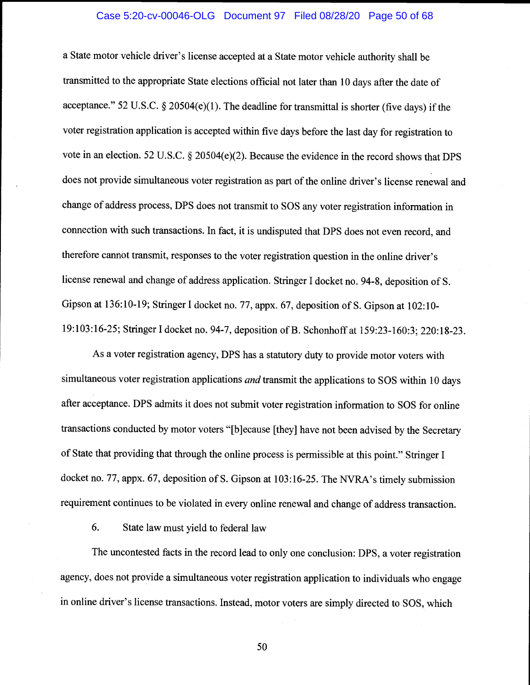# Case 5:20-cv-00046-OLG Document 97 Filed 08/28/20 Page 50 of 68

a State motor vehicle driver's license accepted at a State motor vehicle authority shall be transmitted to the appropriate State elections official not later than 10 days after the date of acceptance." 52 U.S.C. § 20504(e)(1). The deadline for transmittal is shorter (five days) if the voter registration application is accepted within five days before the last day for registration to vote in an election. 52 U.S.C. § 20504(e)(2). Because the evidence in the record shows that DPS does not provide simultaneous voter registration as part of the online driver's license renewal and change of address process, DPS does not transmit to SOS any voter registration information in connection with such transactions. In fact, it is undisputed that DPS does not even record, and therefore cannot transmit, responses to the voter registration question in the online driver's license renewal and change of address application. Stringer I docket no. 94-8, deposition of S. Gipson at 136:10-19; Stringer I docket no. 77, appx. 67, deposition of S. Gipson at 102:10- 19:103:16-25; Stringer I docket no. 94-7, deposition of B. Schonhoff at 159:23-160:3; 220:18-23.

As a voter registration agency, DPS has a statutory duty to provide motor voters with simultaneous voter registration applications and transmit the applications to SOS within 10 days after acceptance. DPS admits it does not submit voter registration information to SOS for online transactions conducted by motor voters "[b}ecause [theyl have not been advised by the Secretary of State that providing that through the online process is permissible at this point." Stringer <sup>I</sup> docket no. 77, appx. 67, deposition of S. Gipson at 103:16-25. The NVRA's timely submission requirement continues to be violated in every online renewal and change of address transaction.

6. State law must yield to federal law

The uncontested facts in the record lead to only one conclusion: DPS, a voter registration agency, does not provide a simultaneous voter registration application to individuals who engage in online driver's license transactions. Instead, motor voters are simply directed to SOS, which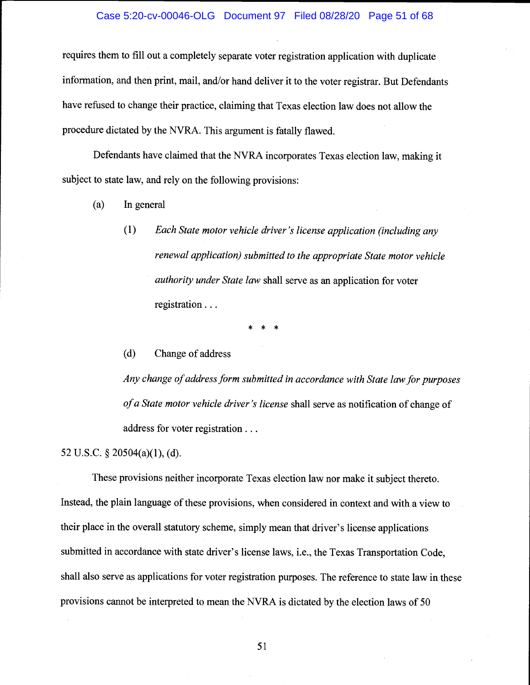## Case 5:20-cv-00046-OLG Document 97 Filed 08/28/20 Page 51 of 68

requires them to fill out a completely separate voter registration application with duplicate information, and then print, mail, and/or hand deliver it to the voter registrar. But Defendants have refused to change their practice, claiming that Texas election law does not allow the procedure dictated by the NVRA. This argument is fatally flawed.

Defendants have claimed that the NVRA incorporates Texas election law, making it subject to state law, and rely on the following provisions:

- (a) In general
	- (1) Each State motor vehicle driver's license application (including any renewal application) submitted to the appropriate State motor vehicle authority under State law shall serve as an application for voter registration . . .

\* \* \*

(d) Change of address

Any change of address form submitted in accordance with State law for purposes of a State motor vehicle driver 's license shall serve as notification of change of address for voter registration.

52 U.S.C. § 20504(a)(l), (d).

These provisions neither incorporate Texas election law nor make it subject thereto. Instead, the plain language of these provisions, when considered in context and with a view to their place in the overall statutory scheme, simply mean that driver's license applications submitted in accordance with state driver's license laws, i.e., the Texas Transportation Code, shall also serve as applications for voter registration purposes. The reference to state law in these provisions cannot be interpreted to mean the NVRA is dictated by the election laws of 50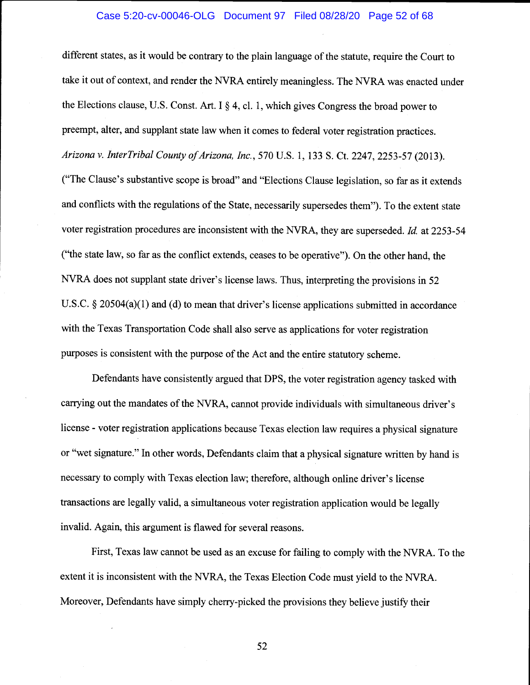# Case 5:20-cv-00046-OLG Document 97 Filed 08/28/20 Page 52 of 68

different states, as it would be contrary to the plain language of the statute, require the Court to take it out of context, and render the NVRA entirely meaningless. The NVRA was enacted under the Elections clause, U.S. Const. Art. I § 4, ci. 1, which gives Congress the broad power to preempt, alter, and supplant state law when it comes to federal voter registration practices. Arizona v. InterTribal County of Arizona, Inc., 570 U.S. 1, 133 S. Ct. 2247, 2253-57 (2013). ("The Clause's substantive scope is broad" and "Elections Clause legislation, so far as it extends and conflicts with the regulations of the State, necessarily supersedes them"). To the extent state voter registration procedures are inconsistent with the NVRA, they are superseded. Id. at 2253-54 ("the state law, so far as the conflict extends, ceases to be operative"). On the other hand, the NVRA does not supplant state driver's license laws. Thus, interpreting the provisions in 52 U.S.C. § 20504(a)(1) and (d) to mean that driver's license applications submitted in accordance with the Texas Transportation Code shall also serve as applications for voter registration purposes is consistent with the purpose of the Act and the entire statutory scheme.

Defendants have consistently argued that DPS, the voter registration agency tasked with carrying out the mandates of the NVRA, cannot provide individuals with simultaneous driver's license - voter registration applications because Texas election law requires a physical signature or "wet signature." In other words, Defendants claim that a physical signature written by hand is necessary to comply with Texas election law; therefore, although online driver's license transactions are legally valid, a simultaneous voter registration application would be legally invalid. Again, this argument is flawed for several reasons.

First, Texas law cannot be used as an excuse for failing to comply with the NYRA. To the extent it is inconsistent with the NYRA, the Texas Election Code must yield to the NVRA. Moreover, Defendants have simply cherry-picked the provisions they believe justify their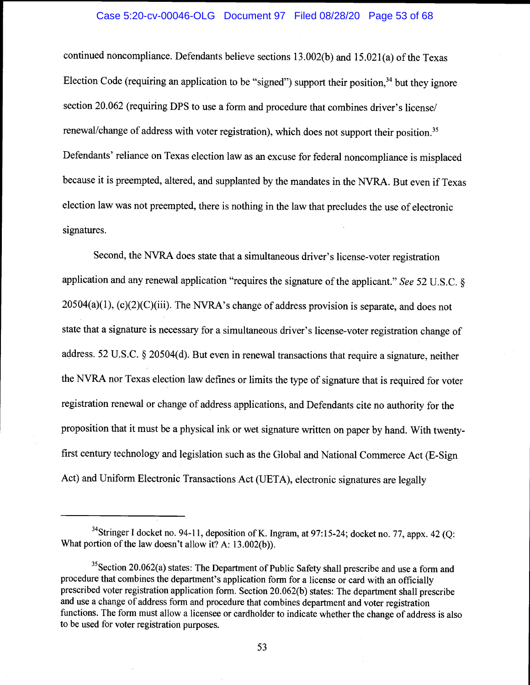# Case 5:20-cv-00046-OLG Document 97 Filed 08/28/20 Page 53 of 68

continued noncompliance. Defendants believe sections 13.002(b) and 15.02 1(a) of the Texas Election Code (requiring an application to be "signed") support their position, $34$  but they ignore section 20.062 (requiring DPS to use a form and procedure that combines driver's license/ renewal/change of address with voter registration), which does not support their position.<sup>35</sup> Defendants' reliance on Texas election law as an excuse for federal noncompliance is misplaced because it is preempted, altered, and supplanted by the mandates in the NVRA. But even if Texas election law was not preempted, there is nothing in the law that precludes the use of electronic signatures.

Second, the NVRA does state that a simultaneous driver's license-voter registration application and any renewal application "requires the signature of the applicant." See 52 U.S.C. §  $20504(a)(1)$ , (c)(2)(C)(iii). The NVRA's change of address provision is separate, and does not state that a signature is necessary for a simultaneous driver's license-voter registration change of address. 52 U.S.C. § 20504(d). But even in renewal transactions that require a signature, neither the NVRA nor Texas election law defines or limits the type of signature that is required for voter registration renewal or change of address applications, and Defendants cite no authority for the proposition that it must be a physical ink or wet signature written on paper by hand. With twentyfirst century technology and legislation such as the Global and National Commerce Act (E-Sign Act) and Uniform Electronic Transactions Act (UETA), electronic signatures are legally

<sup>&</sup>lt;sup>34</sup>Stringer I docket no. 94-11, deposition of K. Ingram, at 97:15-24; docket no. 77, appx. 42 (Q: What portion of the law doesn't allow it? A: 13.002(b)).

<sup>&</sup>lt;sup>35</sup>Section 20.062(a) states: The Department of Public Safety shall prescribe and use a form and procedure that combines the department's application form for a license or card with an officially prescribed voter registration application form. Section 20.062(b) states: The department shall prescribe and use a change of address form and procedure that combines department and voter registration functions. The form must allow a licensee or cardholder to indicate whether the change of address is also to be used for voter registration purposes.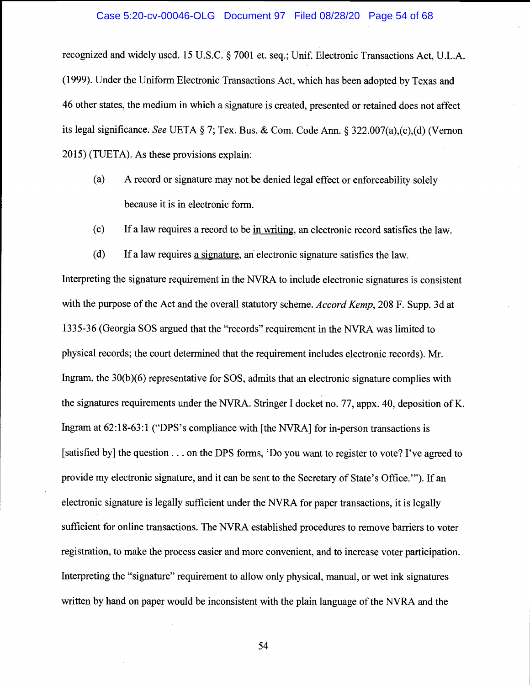#### Case 5:20-cv-00046-OLG Document 97 Filed 08/28/20 Page 54 of 68

recognized and widely used. 15 U.S.C. § 7001 et. seq.; Unif. Electronic Transactions Act, U.L.A. (1999). Under the Uniform Electronic Transactions Act, which has been adopted by Texas and 46 other states, the medium in which a signature is created, presented or retained does not affect its legal significance. See UETA § 7; Tex. Bus. & Com. Code Ann. § 322.007(a),(c),(d) (Vernon 2015) (TUETA). As these provisions explain:

- (a) A record or signature may not be denied legal effect or enforceability solely because it is in electronic form.
- (c) If a law requires a record to be in writing, an electronic record satisfies the law.
- (d) If a law requires a signature, an electronic signature satisfies the law.

Interpreting the signature requirement in the NVRA to include electronic signatures is consistent with the purpose of the Act and the overall statutory scheme. Accord Kemp, 208 F. Supp. 3d at 1335-36 (Georgia SOS argued that the "records" requirement in the NVRA was limited to physical records; the court determined that the requirement includes electronic records). Mr. Ingram, the 30(b)(6) representative for SOS, admits that an electronic signature complies with the signatures requirements under the NVRA. Stringer I docket no. 77, appx. 40, deposition of K. Ingram at 62:18-63:1 ("DPS's compliance with [the NVRA] for in-person transactions is [satisfied by] the question . . . on the DPS forms, 'Do you want to register to vote? I've agreed to provide my electronic signature, and it can be sent to the Secretary of State's Office."). If an electronic signature is legally sufficient under the NVRA for paper transactions, it is legally sufficient for online transactions. The NVRA established procedures to remove barriers to voter registration, to make the process easier and more convenient, and to increase voter participation. Interpreting the "signature" requirement to allow only physical, manual, or wet ink signatures written by hand on paper would be inconsistent with the plain language of the NVRA and the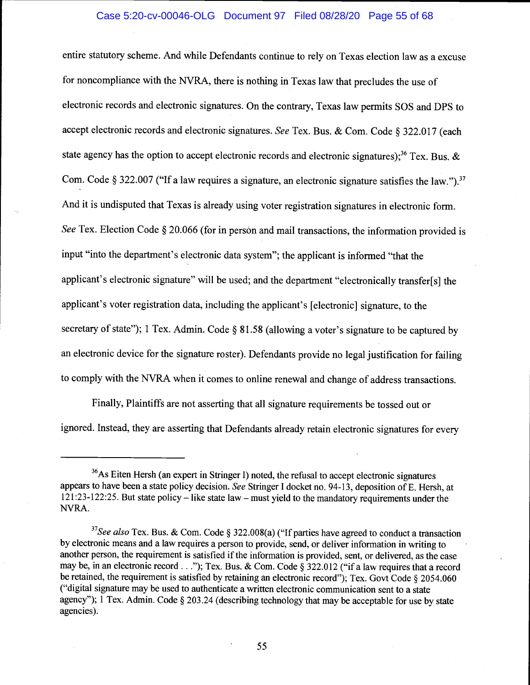entire statutory scheme. And while Defendants continue to rely on Texas election law as a excuse for noncompliance with the NVRA, there is nothing in Texas law that precludes the use of electronic records and electronic signatures. On the contrary, Texas law permits SOS and DPS to accept electronic records and electronic signatures. See Tex. Bus. & Com. Code § 322.017 (each state agency has the option to accept electronic records and electronic signatures);<sup>36</sup> Tex. Bus.  $\&$ Com. Code § 322.007 ("If a law requires a signature, an electronic signature satisfies the law.").<sup>37</sup> And it is undisputed that Texas is already using voter registration signatures in electronic form. See Tex. Election Code § 20.066 (for in person and mail transactions, the information provided is input "into the department's electronic data system"; the applicant is informed "that the applicant's electronic signature" will be used; and the department "electronically transfer[s] the applicant's voter registration data, including the applicant's [electronic] signature, to the secretary of state"); 1 Tex. Admin. Code § 81.58 (allowing a voter's signature to be captured by an electronic device for the signature roster). Defendants provide no legal justification for failing to comply with the NVRA when it comes to online renewal and change of address transactions.

Finally, Plaintiffs are not asserting that all signature requirements be tossed out or ignored. Instead, they are asserting that Defendants already retain electronic signatures for every

<sup>&</sup>lt;sup>36</sup>As Eiten Hersh (an expert in Stringer I) noted, the refusal to accept electronic signatures appears to have been a state policy decision. See Stringer I docket no. 94-13, deposition of E. Hersh, at 121:23-122:25. But state policy – like state law – must yield to the mandatory requirements under the NVRA.

<sup>&</sup>lt;sup>37</sup>See also Tex. Bus. & Com. Code § 322.008(a) ("If parties have agreed to conduct a transaction by electronic means and a law requires a person to provide, send, or deliver information in writing to another person, the requirement is satisfied if the information is provided, sent, or delivered, as the case may be, in an electronic record..."); Tex. Bus. & Com. Code § 322.012 ("if a law requires that a record be retained, the requirement is satisfied by retaining an electronic record"); Tex. Govt Code § 2054.060 ("digital signature may be used to authenticate a written electronic communication sent to a state agency"); 1 Tex. Admin. Code § 203.24 (describing technology that may be acceptable for use by state agencies).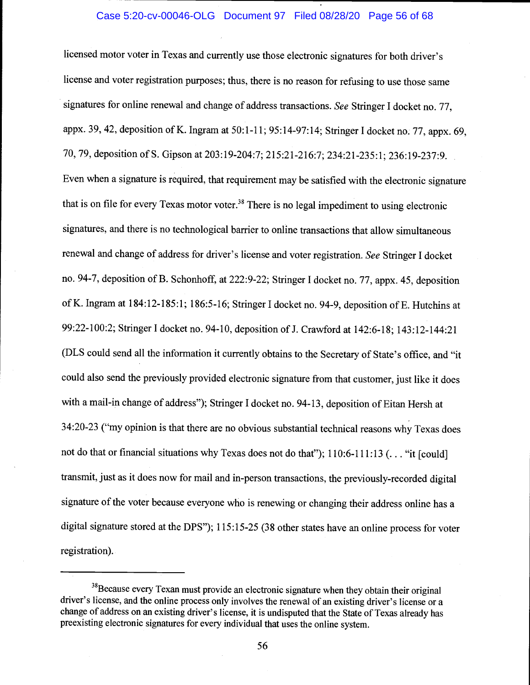#### Case 5:20-cv-00046-OLG Document 97 Filed 08/28/20 Page 56 of 68

licensed motor voter in Texas and currently use those electronic signatures for both driver's license and voter registration purposes; thus, there is no reason for refusing to use those same signatures for online renewal and change of address transactions. See Stringer I docket no. 77, appx. 39, 42, deposition of K. Ingram at 50:1-11; 95:14-97:14; Stringer I docket no. 77, appx. 69, 70, 79, deposition of S. Gipson at 203:19-204:7; 215:21-216:7; 234:21-235:1; 236:19-237:9. Even when a signature is required, that requirement may be satisfied with the electronic signature that is on file for every Texas motor voter.<sup>38</sup> There is no legal impediment to using electronic signatures, and there is no technological barrier to online transactions that allow simultaneous renewal and change of address for driver's license and voter registration. See Stringer I docket no. 94-7, deposition of B. Schonhoff, at 222:9-22; Stringer I docket no. 77, appx. 45, deposition of K. Ingram at 184:12-185:1; 186:5-16; Stringer I docket no. 94-9, deposition of E. Hutchins at 99:22-100:2; Stringer I docket no. 94-10, deposition of J. Crawford at 142:6-18; 143:12-144:21 (DLS could send all the information it currently obtains to the Secretary of State's office, and "it could also send the previously provided electronic signature from that customer, just like it does with a mail-in change of address"); Stringer I docket no. 94-13, deposition of Eitan Hersh at 34:20-23 ("my opinion is that there are no obvious substantial technical reasons why Texas does not do that or financial situations why Texas does not do that"); 110:6-111:13 (... "it [could] transmit, just as it does now for mail and in-person transactions, the previously-recorded digital signature of the voter because everyone who is renewing or changing their address online has a digital signature stored at the DPS"); 115:15-25 (38 other states have an online process for voter registration).

<sup>&</sup>lt;sup>38</sup>Because every Texan must provide an electronic signature when they obtain their original driver's license, and the online process only involves the renewal of an existing driver's license or a change of address on an existing driver's license, it is undisputed that the State of Texas already has preexisting electronic signatures for every individual that uses the online system.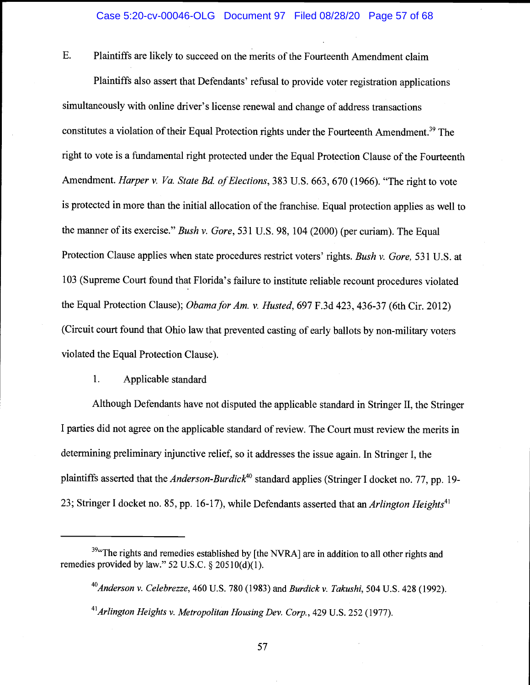E. Plaintiffs are likely to succeed on the merits of the Fourteenth Amendment claim

Plaintiffs also assert that Defendants' refusal to provide voter registration applications simultaneously with online driver's license renewal and change of address transactions constitutes a violation of their Equal Protection rights under the Fourteenth Amendment.<sup>39</sup> The right to vote is a fundamental right protected under the Equal Protection Clause of the Fourteenth Amendment. Harper v. Va. State Bd. of Elections, 383 U.S. 663, 670 (1966). "The right to vote is protected in more than the initial allocation of the franchise. Equal protection applies as well to the manner of its exercise." Bush v. Gore, 531 U.S. 98, 104 (2000) (per curiam). The Equal Protection Clause applies when state procedures restrict voters' rights. Bush v. Gore, 531 U.S. at 103 (Supreme Court found that Florida's failure to institute reliable recount procedures violated the Equal Protection Clause); *Obama for Am. v. Husted*, 697 F.3d 423, 436-37 (6th Cir. 2012) (Circuit court found that Ohio law that prevented casting of early ballots by non-military voters violated the Equal Protection Clause).

#### $1.$ Applicable standard

Although Defendants have not disputed the applicable standard in Stringer II, the Stringer I parties did not agree on the applicable standard of review. The Court must review the merits in determining preliminary injunctive relief, so it addresses the issue again. In Stringer I, the plaintiffs asserted that the *Anderson-Burdick*<sup>40</sup> standard applies (Stringer I docket no. 77, pp. 19-23; Stringer I docket no. 85, pp. 16-17), while Defendants asserted that an Arlington Heights<sup>41</sup>

<sup>&</sup>lt;sup>39</sup> The rights and remedies established by [the NVRA] are in addition to all other rights and remedies provided by law."  $52$  U.S.C. §  $20510(d)(1)$ .

 $^{40}$ Anderson v. Celebrezze, 460 U.S. 780 (1983) and Burdick v. Takushi, 504 U.S. 428 (1992).  $41$ Arlington Heights v. Metropolitan Housing Dev. Corp., 429 U.S. 252 (1977).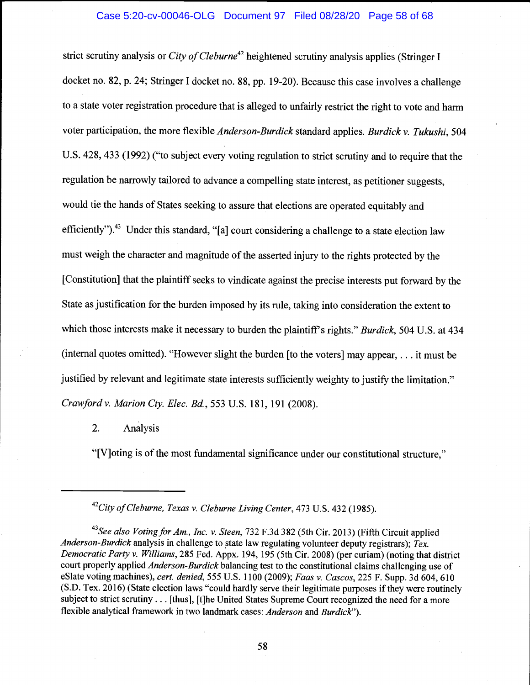# Case 5:20-cv-00046-OLG Document 97 Filed 08/28/20 Page 58 of 68

strict scrutiny analysis or City of Cleburne<sup>42</sup> heightened scrutiny analysis applies (Stringer I docket no. 82, p. 24; Stringer I docket no. 88, pp. 19-20). Because this case involves a challenge to a state voter registration procedure that is alleged to unfairly restrict the right to vote and harm voter participation, the more flexible Anderson-Burdick standard applies. Burdick v. Tukushi, 504 U.S. 428, 433 (1992) ("to subject every voting regulation to strict scrutiny and to require that the regulation be narrowly tailored to advance a compelling state interest, as petitioner suggests, would tie the hands of States seeking to assure that elections are operated equitably and efficiently").<sup>43</sup> Under this standard, "[a] court considering a challenge to a state election law must weigh the character and magnitude of the asserted injury to the rights protected by the [Constitution] that the plaintiff seeks to vindicate against the precise interests put forward by the State as justification for the burden imposed by its rule, taking into consideration the extent to which those interests make it necessary to burden the plaintiff's rights." Burdick, 504 U.S. at 434 (internal quotes omitted). "However slight the burden [to the voters] may appear,. . . it must be justified by relevant and legitimate state interests sufficiently weighty to justify the limitation." Crawfordv. Marion Cty. Elec. Bd., 553 U.S. 181, 191 (2008).

# 2. Analysis

"[V]oting is of the most fundamental significance under our constitutional structure,"

<sup>&</sup>lt;sup>42</sup>City of Cleburne, Texas v. Cleburne Living Center, 473 U.S. 432 (1985).

<sup>&</sup>lt;sup>43</sup>See also Voting for Am., Inc. v. Steen, 732 F.3d 382 (5th Cir. 2013) (Fifth Circuit applied Anderson-Burdick analysis in challenge to state law regulating volunteer deputy registrars);  $T_{ex.}$ Democratic Party v. Williams, 285 Fed. Appx. 194, 195 (5th Cir. 2008) (per curiam) (noting that district court properly applied *Anderson-Burdick* balancing test to the constitutional claims challenging use of eSlate voting machines), cert. denied, 555 U.S. 1100 (2009); Faas v. Cascos, 225 F. Supp. 3d 604, 610 (S.D. Tex. 2016) (State election laws "could hardly serve their legitimate purposes if they were routinely subject to strict scrutiny. . . [thus], [t]he United States Supreme Court recognized the need for a more flexible analytical framework in two landmark cases: Anderson and Burdick").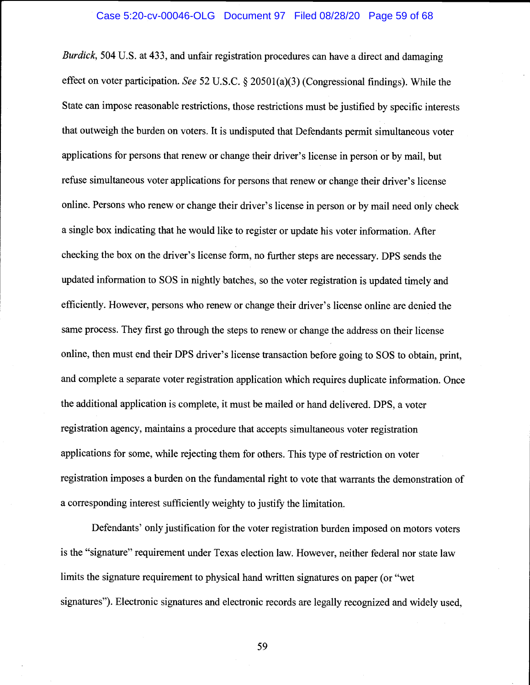#### Case 5:20-cv-00046-OLG Document 97 Filed 08/28/20 Page 59 of 68

Burdick, 504 U.S. at 433, and unfair registration procedures can have a direct and damaging effect on voter participation. See 52 U.S.C. § 20501(a)(3) (Congressional findings). While the State can impose reasonable restrictions, those restrictions must be justified by specific interests that outweigh the burden on voters. It is undisputed that Defendants permit simultaneous voter applications for persons that renew or change their driver's license in person or by mail, but refuse simultaneous voter applications for persons that renew or change their driver's license online. Persons who renew or change their driver's license in person or by mail need only check a single box indicating that he would like to register or update his voter information. After checking the box on the driver's license form, no further steps are necessary. DPS sends the updated information to SOS in nightly batches, so the voter registration is updated timely and efficiently. However, persons who renew or change their driver's license online are denied the same process. They first go through the steps to renew or change the address on their license online, then must end their DPS driver's license transaction before going to SOS to obtain, print, and complete a separate voter registration application which requires duplicate information. Once the additional application is complete, it must be mailed or hand delivered. DPS, a voter registration agency, maintains a procedure that accepts simultaneous voter registration applications for some, while rejecting them for others. This type of restriction on voter registration imposes a burden on the fundamental right to vote that warrants the demonstration of a corresponding interest sufficiently weighty to justify the limitation.

Defendants' only justification for the voter registration burden imposed on motors voters is the "signature" requirement under Texas election law. However, neither federal nor state law limits the signature requirement to physical hand written signatures on paper (or "wet signatures"). Electronic signatures and electronic records are legally recognized and widely used,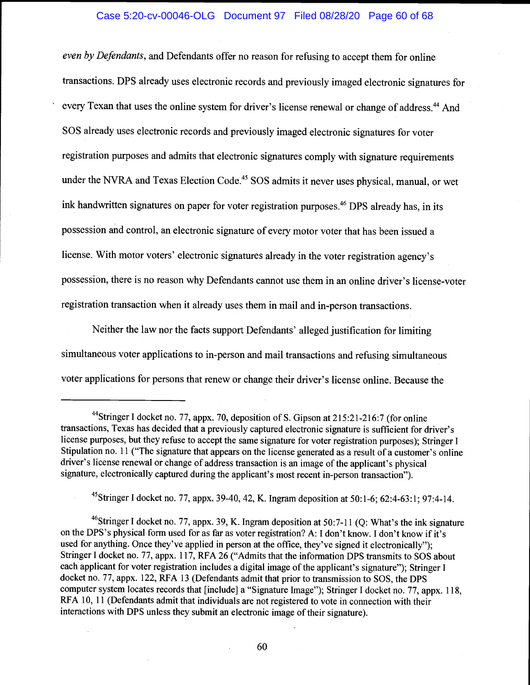# Case 5:20-cv-00046-OLG Document 97 Filed 08/28/20 Page 60 of 68

even by Defendants, and Defendants offer no reason for refusing to accept them for online transactions. DPS already uses electronic records and previously imaged electronic signatures for every Texan that uses the online system for driver's license renewal or change of address.<sup>44</sup> And SOS already uses electronic records and previously imaged electronic signatures for voter registration purposes and admits that electronic signatures comply with signature requirements under the NVRA and Texas Election Code.<sup>45</sup> SOS admits it never uses physical, manual, or wet ink handwritten signatures on paper for voter registration purposes.<sup>46</sup> DPS already has, in its possession and control, an electronic signature of every motor voter that has been issued a license. With motor voters' electronic signatures already in the voter registration agency's possession, there is no reason why Defendants cannot use them in an online driver's license-voter registration transaction when it already uses them in mail and in-person transactions.

Neither the law nor the facts support Defendants' alleged justification for limiting simultaneous voter applications to in-person and mail transactions and refusing simultaneous voter applications for persons that renew or change their driver's license online. Because the

45Stringer I docket no. 77, appx. 39-40, 42, K. Ingram deposition at 50:1-6; 62:4-63:1; 97:4-14.

<sup>46</sup>Stringer I docket no. 77, appx. 39, K. Ingram deposition at 50:7-11 (Q: What's the ink signature on the DPS's physical form used for as far as voter registration? A: I don't know. I don't know if it's used for anything. Once they've applied in person at the office, they've signed it electronically"); Stringer I docket no. 77, appx. 117, RFA 26 ("Admits that the information DPS transmits to SOS about each applicant for voter registration includes a digital image of the applicant's signature"); Stringer I docket no. 77, appx. 122, RFA 13 (Defendants admit that prior to transmission to SOS, the DPS computer system locates records that [include] a "Signature Image"); Stringer I docket no. 77, appx. 118, RFA 10, 11 (Defendants admit that individuals are not registered to vote in connection with their interactions with DPS unless they submit an electronic image of their signature).

<sup>&</sup>lt;sup>44</sup>Stringer I docket no. 77, appx. 70, deposition of S. Gipson at 215:21-216:7 (for online transactions, Texas has decided that a previously captured electronic signature is sufficient for driver's license purposes, but they refuse to accept the same signature for voter registration purposes); Stringer I Stipulation no. 11 ("The signature that appears on the license generated as a result of a customer's online driver's license renewal or change of address transaction is an image of the applicant's physical signature, electronically captured during the applicant's most recent in-person transaction").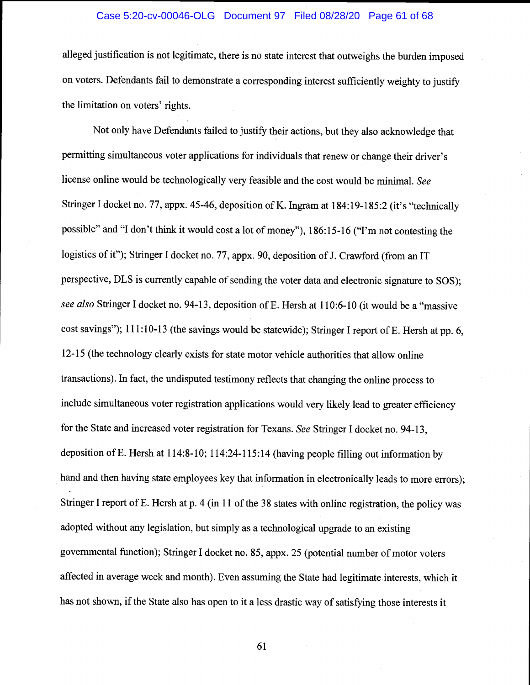# Case 5:20-cv-00046-OLG Document 97 Filed 08/28/20 Page 61 of 68

alleged justification is not legitimate, there is no state interest that outweighs the burden imposed on voters. Defendants fail to demonstrate a corresponding interest sufficiently weighty to justify the limitation on voters' rights.

Not oniy have Defendants failed to justify their actions, but they also acknowledge that permitting simultaneous voter applications for individuals that renew or change their driver's license online would be technologically very feasible and the cost would be minimal. See Stringer I docket no. 77, appx. 45-46, deposition of K. Ingram at 184:19-185:2 (it's "technically possible" and "I don't think it would cost a lot of money"), 186:15-16 ("I'm not contesting the logistics of it"); Stringer I docket no. 77, appx. 90, deposition of J. Crawford (from an IT perspective, DLS is currently capable of sending the voter data and electronic signature to SOS); see also Stringer I docket no. 94-13, deposition of E. Hersh at 110:6-10 (it would be a "massive cost savings"); 111:10-13 (the savings would be statewide); Stringer I report of E. Hersh at pp. 6, 12-15 (the technology clearly exists for state motor vehicle authorities that allow online transactions). In fact, the undisputed testimony reflects that changing the online process to include simultaneous voter registration applications would very likely lead to greater efficiency for the State and increased voter registration for Texans. See Stringer I docket no. 94-13, deposition of E. Hersh at 114:8-10; 114:24-115:14 (having people filling out information by hand and then having state employees key that information in electronically leads to more errors); Stringer I report of E. Hersh at p. 4 (in 11 of the 38 states with online registration, the policy was adopted without any legislation, but simply as a technological upgrade to an existing governmental function); Stringer I docket no. 85, appx. 25 (potential number of motor voters affected in average week and month). Even assuming the State had legitimate interests, which it has not shown, if the State also has open to it a less drastic way of satisfying those interests it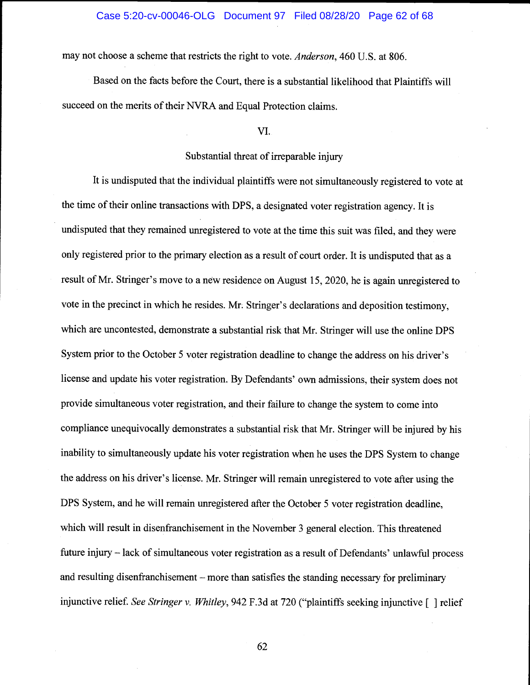# Case 5:20-cv-00046-OLG Document 97 Filed 08/28/20 Page 62 of 68

may not choose a scheme that restricts the right to vote. Anderson, 460 U.S. at 806.

Based on the facts before the Court, there is a substantial likelihood that Plaintiffs will succeed on the merits of their NVRA and Equal Protection claims.

## VI.

## Substantial threat of irreparable injury

It is undisputed that the individual plaintiffs were not simultaneously registered to vote at the time of their online transactions with DPS, a designated voter registration agency. It is undisputed that they remained unregistered to vote at the time this suit was filed, and they were only registered prior to the primary election as a result of court order. It is undisputed that as a result of Mr. Stringer's move to a new residence on August 15, 2020, he is again unregistered to vote in the precinct in which he resides. Mr. Stringer's declarations and deposition testimony, which are uncontested, demonstrate a substantial risk that Mr. Stringer will use the online DPS System prior to the October 5 voter registration deadline to change the address on his driver's license and update his voter registration. By Defendants' own admissions, their system does not provide simultaneous voter registration, and their failure to change the system to come into compliance unequivocally demonstrates a substantial risk that Mr. Stringer will be injured by his inability to simultaneously update his voter registration when he uses the DPS System to change the address on his driver's license. Mr. Stringer will remain unregistered to vote after using the DPS System, and he will remain unregistered after the October 5 voter registration deadline, which will result in disenfranchisement in the November 3 general election. This threatened future injury – lack of simultaneous voter registration as a result of Defendants' unlawful process and resulting disenfranchisement – more than satisfies the standing necessary for preliminary injunctive relief. See Stringer v. Whitley, 942 F.3d at 720 ("plaintiffs seeking injunctive [ ] relief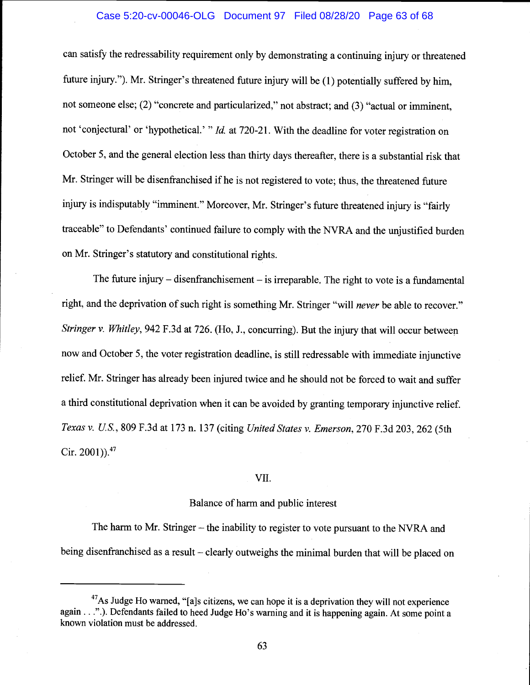#### Case 5:20-cv-00046-OLG Document 97 Filed 08/28/20 Page 63 of 68

can satisfy the redressability requirement only by demonstrating a continuing injury or threatened future injury."). Mr. Stringer's threatened future injury will be (1) potentially suffered by him, not someone else; (2) "concrete and particularized," not abstract; and (3) "actual or imminent, not 'conjectural' or 'hypothetical.' " Id. at 720-21. With the deadline for voter registration on October 5, and the general election less than thirty days thereafter, there is a substantial risk that Mr. Stringer will be disenfranchised if he is not registered to vote; thus, the threatened future injury is indisputably "imminent." Moreover, Mr. Stringer's future threatened injury is "fairly traceable" to Defendants' continued failure to comply with the NVRA and the unjustified burden on Mr. Stringer's statutory and constitutional rights.

The future injury  $-$  disenfranchisement  $-$  is irreparable. The right to vote is a fundamental right, and the deprivation of such right is something Mr. Stringer "will never be able to recover." Stringer v. Whitley, 942 F.3d at 726. (Ho, J., concurring). But the injury that will occur between now and October 5, the voter registration deadline, is still redressable with immediate injunctive relief. Mr. Stringer has already been injured twice and he should not be forced to wait and suffer a third constitutional deprivation when it can be avoided by granting temporary injunctive relief. Texas v. U.S., 809 F.3d at 173 n. 137 (citing United States v. Emerson, 270 F.3d 203, 262 (5th Cir. 2001)). $47$ 

#### VII.

#### Balance of harm and public interest

The harm to Mr. Stringer – the inability to register to vote pursuant to the NVRA and being disenfranchised as a result  $-\text{clearly}$  outweighs the minimal burden that will be placed on

<sup>&</sup>lt;sup>47</sup>As Judge Ho warned, "[a]s citizens, we can hope it is a deprivation they will not experience again.  $\ldots$ ".). Defendants failed to heed Judge Ho's warning and it is happening again. At some point a known violation must be addressed.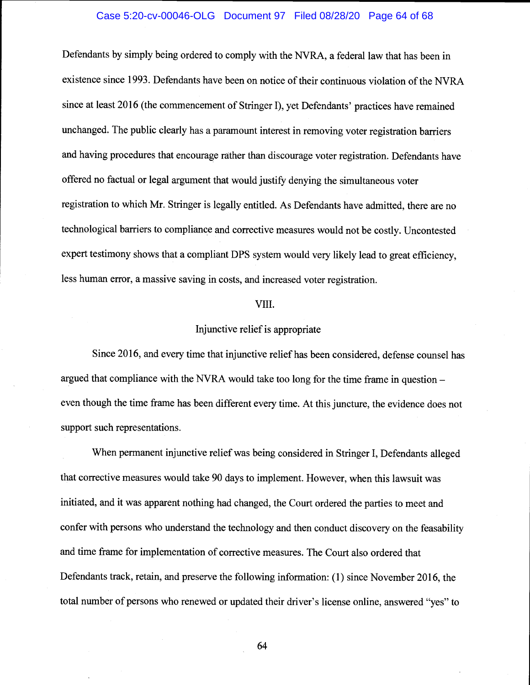## Case 5:20-cv-00046-OLG Document 97 Filed 08/28/20 Page 64 of 68

Defendants by simply being ordered to comply with the NVRA, a federal law that has been in existence since 1993. Defendants have been on notice of their continuous violation of the NVRA since at least 2016 (the commencement of Stringer I), yet Defendants' practices have remained unchanged. The public clearly has a paramount interest in removing voter registration barriers and having procedures that encourage rather than discourage voter registration. Defendants have offered no factual or legal argument that would justify denying the simultaneous voter registration to which Mr. Stringer is legally entitled. As Defendants have admitted, there are no technological barriers to compliance and corrective measures would not be costly. Uncontested expert testimony shows that a compliant DPS system would very likely lead to great efficiency, less human error, a massive saving in costs, and increased voter registration.

#### VIII.

# Injunctive relief is appropriate

Since 2016, and every time that injunctive relief has been considered, defense counsel has argued that compliance with the NVRA would take too long for the time frame in question even though the time frame has been different every time. At this juncture, the evidence does not support such representations.

When permanent injunctive relief was being considered in Stringer I, Defendants alleged that corrective measures would take 90 days to implement. However, when this lawsuit was initiated, and it was apparent nothing had changed, the Court ordered the parties to meet and confer with persons who understand the technology and then conduct discovery on the feasability and time frame for implementation of corrective measures. The Court also ordered that Defendants track, retain, and preserve the following information: (1) since November 2016, the total number of persons who renewed or updated their driver's license online, answered "yes" to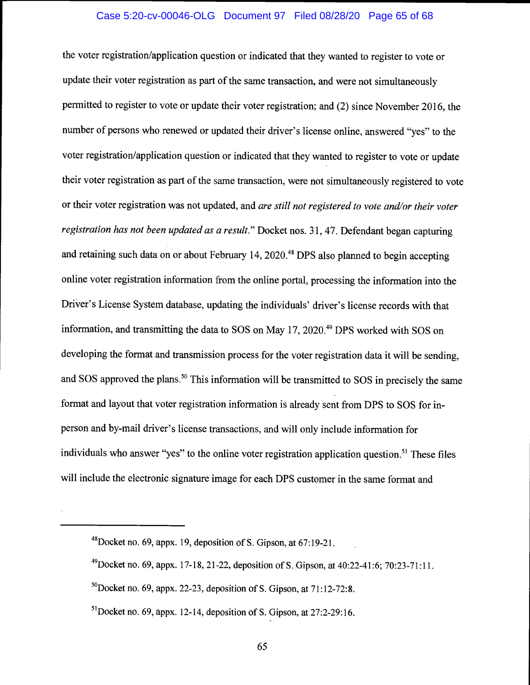# Case 5:20-cv-00046-OLG Document 97 Filed 08/28/20 Page 65 of 68

the voter registration/application question or indicated that they wanted to register to vote or update their voter registration as part of the same transaction, and were not simultaneously permitted to register to vote or update their voter registration; and (2) since November 2016, the number of persons who renewed or updated their driver's license online, answered "yes" to the voter registration/application question or indicated that they wanted to register to vote or update their voter registration as part of the same transaction, were not simultaneously registered to vote or their voter registration was not updated, and are still not registered to vote and/or their voter registration has not been updated as a result." Docket nos. 31, 47. Defendant began capturing and retaining such data on or about February 14, 2020.<sup>48</sup> DPS also planned to begin accepting online voter registration information from the online portal, processing the information into the Driver's License System database, updating the individuals' driver's license records with that information, and transmitting the data to SOS on May  $17, 2020$ .<sup>49</sup> DPS worked with SOS on developing the format and transmission process for the voter registration data it will be sending, and SOS approved the plans.<sup>50</sup> This information will be transmitted to SOS in precisely the same format and layout that voter registration information is already sent from DPS to SOS for inperson and by-mail driver's license transactions, and will only include information for individuals who answer "yes" to the online voter registration application question.<sup>51</sup> These files will include the electronic signature image for each DPS customer in the same format and

<sup>48</sup>Docket no. 69, appx. 19, deposition of S. Gipson, at 67:19-21.

<sup>&</sup>lt;sup>49</sup>Docket no. 69, appx. 17-18, 21-22, deposition of S. Gipson, at  $40:22-41:6$ ; 70:23-71:11.

 $50$ Docket no. 69, appx. 22-23, deposition of S. Gipson, at 71:12-72:8.

 $51$ Docket no. 69, appx. 12-14, deposition of S. Gipson, at 27:2-29:16.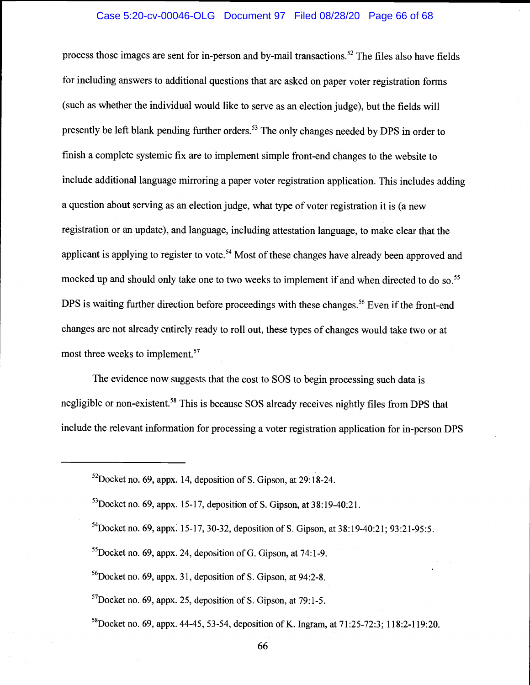# Case 5:20-cv-00046-OLG Document 97 Filed 08/28/20 Page 66 of 68

process those images are sent for in-person and by-mail transactions.<sup>52</sup> The files also have fields for including answers to additional questions that are asked on paper voter registration forms (such as whether the individual would like to serve as an election judge), but the fields will presently be left blank pending further orders.<sup>53</sup> The only changes needed by DPS in order to finish a complete systemic fix are to implement simple front-end changes to the website to include additional language mirroring a paper voter registration application. This includes adding a question about serving as an election judge, what type of voter registration it is (a new registration or an update), and language, including attestation language, to make clear that the applicant is applying to register to vote.<sup>54</sup> Most of these changes have already been approved and mocked up and should only take one to two weeks to implement if and when directed to do so.<sup>55</sup> DPS is waiting further direction before proceedings with these changes.<sup>56</sup> Even if the front-end changes are not already entirely ready to roll out, these types of changes would take two or at most three weeks to implement.<sup>57</sup>

The evidence now suggests that the cost to SOS to begin processing such data is negligible or non-existent.<sup>58</sup> This is because SOS already receives nightly files from DPS that include the relevant information for processing a voter registration application for in-person DPS

 $52$ Docket no. 69, appx. 14, deposition of S. Gipson, at 29:18-24.

 $^{53}$ Docket no. 69, appx. 15-17, deposition of S. Gipson, at 38:19-40:21.

<sup>&</sup>lt;sup>54</sup>Docket no. 69, appx. 15-17, 30-32, deposition of S. Gipson, at  $38:19-40:21$ ; 93:21-95:5.

 $<sup>55</sup>$ Docket no. 69, appx. 24, deposition of G. Gipson, at 74:1-9.</sup>

 ${}^{56}$ Docket no. 69, appx. 31, deposition of S. Gipson, at 94:2-8.

 $57$ Docket no. 69, appx. 25, deposition of S. Gipson, at 79:1-5.

<sup>&</sup>lt;sup>58</sup>Docket no. 69, appx. 44-45, 53-54, deposition of K. Ingram, at  $71:25-72:3$ ; 118:2-119:20.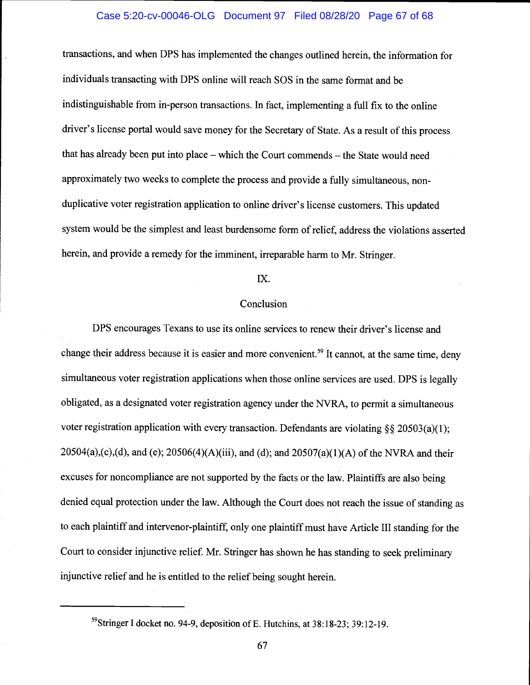#### Case 5:20-cv-00046-OLG Document 97 Filed 08/28/20 Page 67 of 68

transactions, and when DPS has implemented the changes outlined herein, the information for individuals transacting with DPS online will reach SOS in the same format and be indistinguishable from in-person transactions. In fact, implementing a full fix to the online driver's license portal would save money for the Secretary of State. As a result of this process that has already been put into place  $-$  which the Court commends  $-$  the State would need approximately two weeks to complete the process and provide a fully simultaneous, nonduplicative voter registration application to online driver's license customers. This updated system would be the simplest and least burdensome form of relief, address the violations asserted herein, and provide a remedy for the imminent, irreparable harm to Mr. Stringer.

# Ix.

#### Conclusion

DPS encourages Texans to use its online services to renew their driver's license and change their address because it is easier and more convenient.<sup>59</sup> It cannot, at the same time, deny simultaneous voter registration applications when those online services are used. DPS is legally obligated, as a designated voter registration agency under the NVRA, to permit a simultaneous voter registration application with every transaction. Defendants are violating §§ 20503(a)(1);  $20504(a)$ ,(c),(d), and (e);  $20506(4)$ (A)(iii), and (d); and  $20507(a)(1)$ (A) of the NVRA and their excuses for noncompliance are not supported by the facts or the law. Plaintiffs are also being denied equal protection under the law. Although the Court does not reach the issue of standing as to each plaintiff and intervenor-plaintiff, only one plaintiff must have Article III standing for the Court to consider injunctive relief. Mr. Stringer has shown he has standing to seek preliminary injunctive relief and he is entitled to the relief being sought herein.

<sup>59</sup>Stringer I docket no. 94-9, deposition of E. Hutchins, at 38:18-23; 39:12-19.